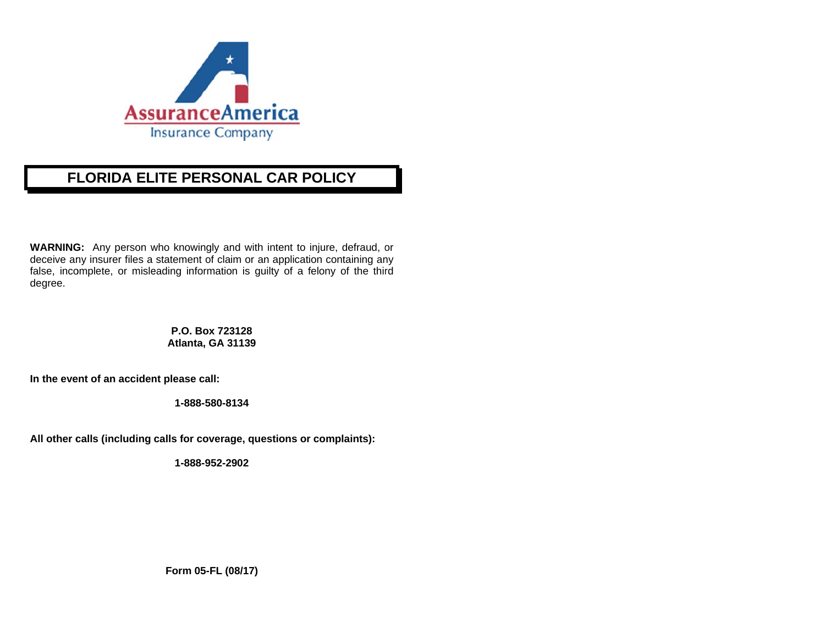

# **FLORIDA ELLITE PERSOONAL CAR PPOLICY**

**WARNING:** Any person who knowingly and with intent to injure, defraud, or deceive any insurer files a statement of claim or an application containing any false, incomplete, or misleading information is guilty of a felony of the third degree.

> **P.O. Box 7233128 Atlanta, GA 3 31139**

In the event of an accident please call:

**1-888-580-8134** 

**All other c calls (including calls for coverag ge, questions or r complaints):** 

**1-888-952-2902** 

**Form 05-FL (0 08/17)**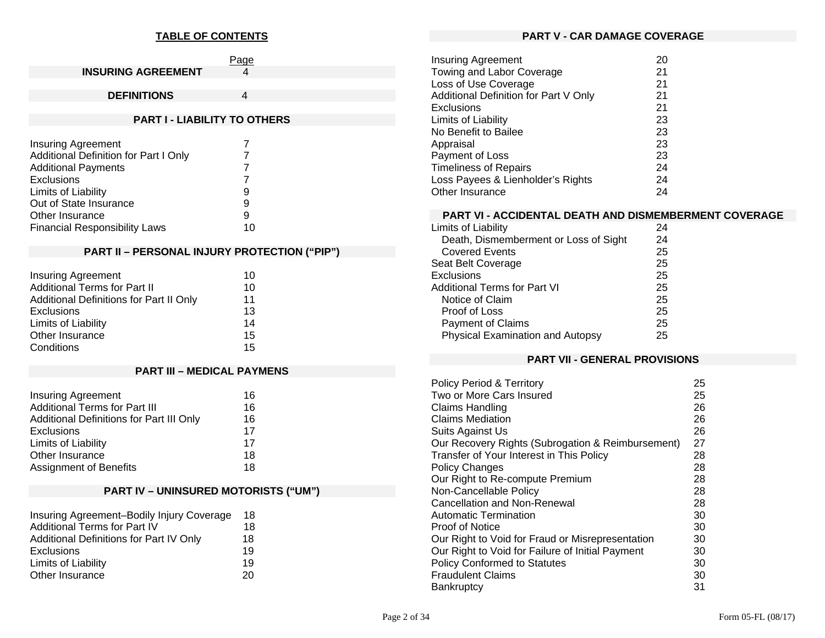### **TABLE OF CONTENTS**

|                           | Page |
|---------------------------|------|
| <b>INSURING AGREEMENT</b> |      |
|                           |      |
| <b>DEFINITIONS</b>        |      |

# **PART I - LIABILITY TO OTHERS**

| <b>Insuring Agreement</b>             |    |
|---------------------------------------|----|
| Additional Definition for Part I Only |    |
| <b>Additional Payments</b>            |    |
| <b>Exclusions</b>                     |    |
| Limits of Liability                   | 9  |
| Out of State Insurance                | 9  |
| Other Insurance                       | 9  |
| <b>Financial Responsibility Laws</b>  | 10 |

# **PART II – PERSONAL INJURY PROTECTION ("PIP")**

| <b>Insuring Agreement</b>               | 10 |
|-----------------------------------------|----|
| <b>Additional Terms for Part II</b>     | 10 |
| Additional Definitions for Part II Only | 11 |
| Exclusions                              | 13 |
| Limits of Liability                     | 14 |
| Other Insurance                         | 15 |
| Conditions                              | 15 |

# **PART III – MEDICAL PAYMENS**

| <b>Insuring Agreement</b>                | 16 |
|------------------------------------------|----|
| <b>Additional Terms for Part III</b>     | 16 |
| Additional Definitions for Part III Only | 16 |
| <b>Exclusions</b>                        | 17 |
| Limits of Liability                      | 17 |
| Other Insurance                          | 18 |
| Assignment of Benefits                   | 18 |

# **PART IV – UNINSURED MOTORISTS ("UM")**

| Insuring Agreement-Bodily Injury Coverage | 18 |
|-------------------------------------------|----|
| Additional Terms for Part IV              | 18 |
| Additional Definitions for Part IV Only   | 18 |
| <b>Exclusions</b>                         | 19 |
| Limits of Liability                       | 19 |
| Other Insurance                           | 20 |

#### **PART V - CAR DAMAGE COVERAGE**

| <b>Insuring Agreement</b>             | 20 |
|---------------------------------------|----|
| Towing and Labor Coverage             | 21 |
| Loss of Use Coverage                  | 21 |
| Additional Definition for Part V Only | 21 |
| <b>Exclusions</b>                     | 21 |
| Limits of Liability                   | 23 |
| No Benefit to Bailee                  | 23 |
| Appraisal                             | 23 |
| Payment of Loss                       | 23 |
| <b>Timeliness of Repairs</b>          | 24 |
| Loss Payees & Lienholder's Rights     | 24 |
| Other Insurance                       | 24 |

### **PART VI - ACCIDENTAL DEATH AND DISMEMBERMENT COVERAGE**

| Limits of Liability                   | 24 |
|---------------------------------------|----|
| Death, Dismemberment or Loss of Sight | 24 |
| <b>Covered Events</b>                 | 25 |
| Seat Belt Coverage                    | 25 |
| Exclusions                            | 25 |
| Additional Terms for Part VI          | 25 |
| Notice of Claim                       | 25 |
| Proof of Loss                         | 25 |
| <b>Payment of Claims</b>              | 25 |
| Physical Examination and Autopsy      | 25 |
|                                       |    |

#### **PART VII - GENERAL PROVISIONS**

| <b>Policy Period &amp; Territory</b>              | 25 |
|---------------------------------------------------|----|
| Two or More Cars Insured                          | 25 |
| Claims Handling                                   | 26 |
| <b>Claims Mediation</b>                           | 26 |
| Suits Against Us                                  | 26 |
| Our Recovery Rights (Subrogation & Reimbursement) | 27 |
| Transfer of Your Interest in This Policy          | 28 |
| <b>Policy Changes</b>                             | 28 |
| Our Right to Re-compute Premium                   | 28 |
| Non-Cancellable Policy                            | 28 |
| <b>Cancellation and Non-Renewal</b>               | 28 |
| Automatic Termination                             | 30 |
| Proof of Notice                                   | 30 |
| Our Right to Void for Fraud or Misrepresentation  | 30 |
| Our Right to Void for Failure of Initial Payment  | 30 |
| <b>Policy Conformed to Statutes</b>               | 30 |
| <b>Fraudulent Claims</b>                          | 30 |
| Bankruptcy                                        | 31 |
|                                                   |    |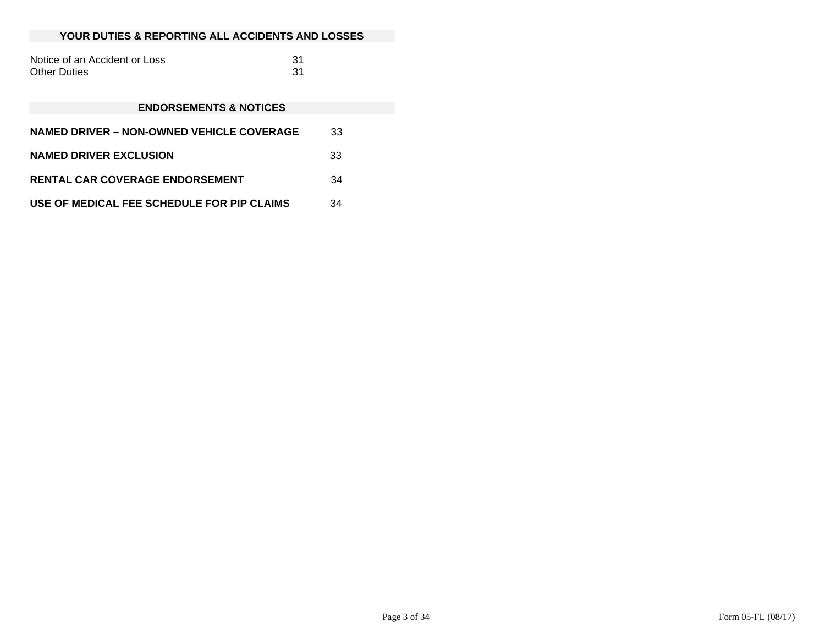#### **YOUR DUTIES & REPORTING ALL ACCIDENTS AND LOSSES**

| Notice of an Accident or Loss |  |
|-------------------------------|--|
| Other Duties                  |  |

#### **ENDORSEMENTS & NOTICES**

| <b>NAMED DRIVER – NON-OWNED VEHICLE COVERAGE</b> | 33 |
|--------------------------------------------------|----|
| <b>NAMED DRIVER EXCLUSION</b>                    | 33 |
| <b>RENTAL CAR COVERAGE ENDORSEMENT</b>           | 34 |
| USE OF MEDICAL FEE SCHEDULE FOR PIP CLAIMS       | 34 |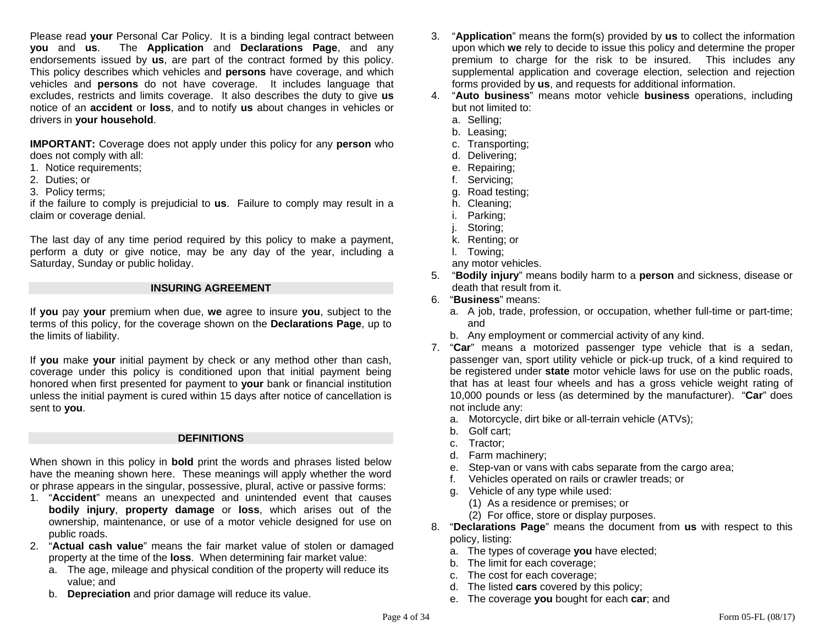Please read **your** Personal Car Policy. It is a binding legal contract between **you** and **us**. The **Application** and **Declarations Page**, and any endorsements issued by **us**, are part of the contract formed by this policy. This policy describes which vehicles and **persons** have coverage, and which vehicles and **persons** do not have coverage. It includes language that excludes, restricts and limits coverage. It also describes the duty to give **us** notice of an **accident** or **loss**, and to notify **us** about changes in vehicles or drivers in **your household**.

**IMPORTANT:** Coverage does not apply under this policy for any **person** who does not comply with all:

- 1. Notice requirements;
- 2. Duties; or
- 3. Policy terms;

if the failure to comply is prejudicial to **us**. Failure to comply may result in a claim or coverage denial.

The last day of any time period required by this policy to make a payment, perform a duty or give notice, may be any day of the year, including a Saturday, Sunday or public holiday.

### **INSURING AGREEMENT**

If **you** pay **your** premium when due, **we** agree to insure **you**, subject to the terms of this policy, for the coverage shown on the **Declarations Page**, up to the limits of liability.

If **you** make **your** initial payment by check or any method other than cash, coverage under this policy is conditioned upon that initial payment being honored when first presented for payment to **your** bank or financial institution unless the initial payment is cured within 15 days after notice of cancellation is sent to **you**.

### **DEFINITIONS**

When shown in this policy in **bold** print the words and phrases listed below have the meaning shown here. These meanings will apply whether the word or phrase appears in the singular, possessive, plural, active or passive forms:

- 1. "**Accident**" means an unexpected and unintended event that causes **bodily injury**, **property damage** or **loss**, which arises out of the ownership, maintenance, or use of a motor vehicle designed for use on public roads.
- 2. "**Actual cash value**" means the fair market value of stolen or damaged property at the time of the **loss**. When determining fair market value:
	- a. The age, mileage and physical condition of the property will reduce its value; and
	- b. **Depreciation** and prior damage will reduce its value.
- 3. "**Application**" means the form(s) provided by **us** to collect the information upon which **we** rely to decide to issue this policy and determine the proper premium to charge for the risk to be insured. This includes any supplemental application and coverage election, selection and rejection forms provided by **us**, and requests for additional information.
- 4. "**Auto business**" means motor vehicle **business** operations, including but not limited to:
	- a. Selling;
	- b. Leasing;
	- c. Transporting;
	- d. Delivering;
	- e. Repairing;
	- f. Servicing;
	- g. Road testing;
	- h. Cleaning;
	- i. Parking;
	- j. Storing;
	- k. Renting; or
	- l. Towing;
	- any motor vehicles.
- 5. "**Bodily injury**" means bodily harm to a **person** and sickness, disease or death that result from it.
- 6. "**Business**" means:
	- a. A job, trade, profession, or occupation, whether full-time or part-time; and
	- b. Any employment or commercial activity of any kind.
- 7. "**Car**" means a motorized passenger type vehicle that is a sedan, passenger van, sport utility vehicle or pick-up truck, of a kind required to be registered under **state** motor vehicle laws for use on the public roads, that has at least four wheels and has a gross vehicle weight rating of 10,000 pounds or less (as determined by the manufacturer). "**Car**" does not include any:
	- a. Motorcycle, dirt bike or all-terrain vehicle (ATVs);
	- b. Golf cart;
	- c. Tractor;
	- d. Farm machinery;
	- e. Step-van or vans with cabs separate from the cargo area;
	- f. Vehicles operated on rails or crawler treads; or
	- g. Vehicle of any type while used:
		- (1) As a residence or premises; or
		- (2) For office, store or display purposes.
- 8. "**Declarations Page**" means the document from **us** with respect to this policy, listing:
	- a. The types of coverage **you** have elected;
	- b. The limit for each coverage;
	- c. The cost for each coverage;
	- d. The listed **cars** covered by this policy;
	- e. The coverage **you** bought for each **car**; and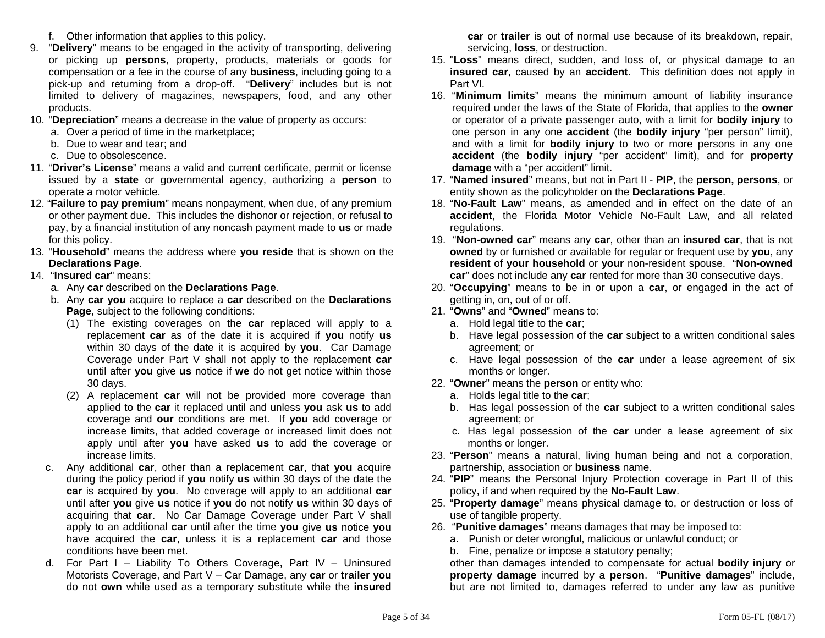- f. Other information that applies to this policy.
- 9. "**Delivery**" means to be engaged in the activity of transporting, delivering or picking up **persons**, property, products, materials or goods for compensation or a fee in the course of any **business**, including going to a pick-up and returning from a drop-off. "**Delivery**" includes but is not limited to delivery of magazines, newspapers, food, and any other products.
- 10. "**Depreciation**" means a decrease in the value of property as occurs:
	- a. Over a period of time in the marketplace;
	- b. Due to wear and tear; and
	- c. Due to obsolescence.
- 11. "**Driver's License**" means a valid and current certificate, permit or license issued by a **state** or governmental agency, authorizing a **person** to operate a motor vehicle.
- 12. "**Failure to pay premium**" means nonpayment, when due, of any premium or other payment due. This includes the dishonor or rejection, or refusal to pay, by a financial institution of any noncash payment made to **us** or made for this policy.
- 13. "**Household**" means the address where **you reside** that is shown on the **Declarations Page**.
- 14. "**Insured car**" means:
	- a. Any **car** described on the **Declarations Page**.
	- b. Any **car you** acquire to replace a **car** described on the **Declarations Page**, subject to the following conditions:
		- (1) The existing coverages on the **car** replaced will apply to a replacement **car** as of the date it is acquired if **you** notify **us**  within 30 days of the date it is acquired by **you**. Car Damage Coverage under Part V shall not apply to the replacement **car**  until after **you** give **us** notice if **we** do not get notice within those 30 days.
		- (2) A replacement **car** will not be provided more coverage than applied to the **car** it replaced until and unless **you** ask **us** to add coverage and **our** conditions are met. If **you** add coverage or increase limits, that added coverage or increased limit does not apply until after **you** have asked **us** to add the coverage or increase limits.
	- c. Any additional **car**, other than a replacement **car**, that **you** acquire during the policy period if **you** notify **us** within 30 days of the date the **car** is acquired by **you**. No coverage will apply to an additional **car** until after **you** give **us** notice if **you** do not notify **us** within 30 days of acquiring that **car**. No Car Damage Coverage under Part V shall apply to an additional **car** until after the time **you** give **us** notice **you**  have acquired the **car**, unless it is a replacement **car** and those conditions have been met.
	- d. For Part I Liability To Others Coverage, Part IV Uninsured Motorists Coverage, and Part V – Car Damage, any **car** or **trailer you** do not **own** while used as a temporary substitute while the **insured**

**car** or **trailer** is out of normal use because of its breakdown, repair, servicing, **loss**, or destruction.

- 15. "**Loss**" means direct, sudden, and loss of, or physical damage to an **insured car**, caused by an **accident**. This definition does not apply in Part VI.
- 16. "**Minimum limits**" means the minimum amount of liability insurance required under the laws of the State of Florida, that applies to the **owner** or operator of a private passenger auto, with a limit for **bodily injury** to one person in any one **accident** (the **bodily injury** "per person" limit), and with a limit for **bodily injury** to two or more persons in any one **accident** (the **bodily injury** "per accident" limit), and for **property damage** with a "per accident" limit.
- 17. "**Named insured**" means, but not in Part II **PIP**, the **person, persons**, or entity shown as the policyholder on the **Declarations Page**.
- 18. "**No-Fault Law**" means, as amended and in effect on the date of an **accident**, the Florida Motor Vehicle No-Fault Law, and all related regulations.
- 19. "**Non-owned car**" means any **car**, other than an **insured car**, that is not **owned** by or furnished or available for regular or frequent use by **you**, any **resident** of **your household** or **your** non-resident spouse. "**Non-owned car**" does not include any **car** rented for more than 30 consecutive days.
- 20. "**Occupying**" means to be in or upon a **car**, or engaged in the act of getting in, on, out of or off.
- 21. "**Owns**" and "**Owned**" means to:
	- a. Hold legal title to the **car**;
	- b. Have legal possession of the **car** subject to a written conditional sales agreement; or
	- c. Have legal possession of the **car** under a lease agreement of six months or longer.
- 22. "**Owner**" means the **person** or entity who:
	- a. Holds legal title to the **car**;
	- b. Has legal possession of the **car** subject to a written conditional sales agreement; or
	- c. Has legal possession of the **car** under a lease agreement of six months or longer.
- 23. "**Person**" means a natural, living human being and not a corporation, partnership, association or **business** name.
- 24. "**PIP**" means the Personal Injury Protection coverage in Part II of this policy, if and when required by the **No-Fault Law**.
- 25. "**Property damage**" means physical damage to, or destruction or loss of use of tangible property.
- 26. "**Punitive damages**" means damages that may be imposed to:
	- a. Punish or deter wrongful, malicious or unlawful conduct; or
	- b. Fine, penalize or impose a statutory penalty;

 other than damages intended to compensate for actual **bodily injury** or **property damage** incurred by a **person**. "**Punitive damages**" include, but are not limited to, damages referred to under any law as punitive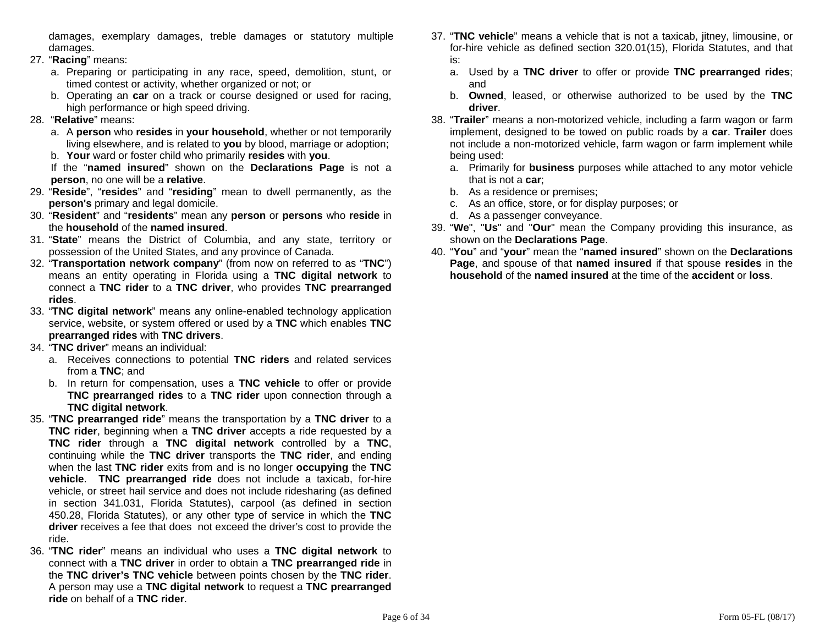damages, exemplary damages, treble damages or statutory multiple damages.

- 27. "**Racing**" means:
	- a. Preparing or participating in any race, speed, demolition, stunt, or timed contest or activity, whether organized or not; or
	- b. Operating an **car** on a track or course designed or used for racing, high performance or high speed driving.
- 28. "**Relative**" means:
	- a. A **person** who **resides** in **your household**, whether or not temporarily living elsewhere, and is related to **you** by blood, marriage or adoption;
	- b. **Your** ward or foster child who primarily **resides** with **you**.

 If the "**named insured**" shown on the **Declarations Page** is not a **person**, no one will be a **relative**.

- 29. "**Reside**", "**resides**" and "**residing**" mean to dwell permanently, as the **person's** primary and legal domicile.
- 30. "**Resident**" and "**residents**" mean any **person** or **persons** who **reside** in the **household** of the **named insured**.
- 31. "**State**" means the District of Columbia, and any state, territory or possession of the United States, and any province of Canada.
- 32. "**Transportation network company**" (from now on referred to as "**TNC**") means an entity operating in Florida using a **TNC digital network** to connect a **TNC rider** to a **TNC driver**, who provides **TNC prearranged rides**.
- 33. "**TNC digital network**" means any online-enabled technology application service, website, or system offered or used by a **TNC** which enables **TNC prearranged rides** with **TNC drivers**.
- 34. "**TNC driver**" means an individual:
	- a. Receives connections to potential **TNC riders** and related services from a **TNC**; and
	- b. In return for compensation, uses a **TNC vehicle** to offer or provide **TNC prearranged rides** to a **TNC rider** upon connection through a **TNC digital network**.
- 35. "**TNC prearranged ride**" means the transportation by a **TNC driver** to a **TNC rider**, beginning when a **TNC driver** accepts a ride requested by a **TNC rider** through a **TNC digital network** controlled by a **TNC**, continuing while the **TNC driver** transports the **TNC rider**, and ending when the last **TNC rider** exits from and is no longer **occupying** the **TNC vehicle**. **TNC prearranged ride** does not include a taxicab, for-hire vehicle, or street hail service and does not include ridesharing (as defined in section 341.031, Florida Statutes), carpool (as defined in section 450.28, Florida Statutes), or any other type of service in which the **TNC driver** receives a fee that does not exceed the driver's cost to provide the ride.
- 36. "**TNC rider**" means an individual who uses a **TNC digital network** to connect with a **TNC driver** in order to obtain a **TNC prearranged ride** in the **TNC driver's TNC vehicle** between points chosen by the **TNC rider**. A person may use a **TNC digital network** to request a **TNC prearranged ride** on behalf of a **TNC rider**.
- 37. "**TNC vehicle**" means a vehicle that is not a taxicab, jitney, limousine, or for-hire vehicle as defined section 320.01(15), Florida Statutes, and that is:
	- a. Used by a **TNC driver** to offer or provide **TNC prearranged rides**; and
	- b. **Owned**, leased, or otherwise authorized to be used by the **TNC driver**.
- 38. "**Trailer**" means a non-motorized vehicle, including a farm wagon or farm implement, designed to be towed on public roads by a **car**. **Trailer** does not include a non-motorized vehicle, farm wagon or farm implement while being used:
	- a. Primarily for **business** purposes while attached to any motor vehicle that is not a **car**;
	- b. As a residence or premises;
	- c. As an office, store, or for display purposes; or
	- d. As a passenger conveyance.
- 39. "**We**", "**Us**" and "**Our**" mean the Company providing this insurance, as shown on the **Declarations Page**.
- 40. "**You**" and "**your**" mean the "**named insured**" shown on the **Declarations Page**, and spouse of that **named insured** if that spouse **resides** in the **household** of the **named insured** at the time of the **accident** or **loss**.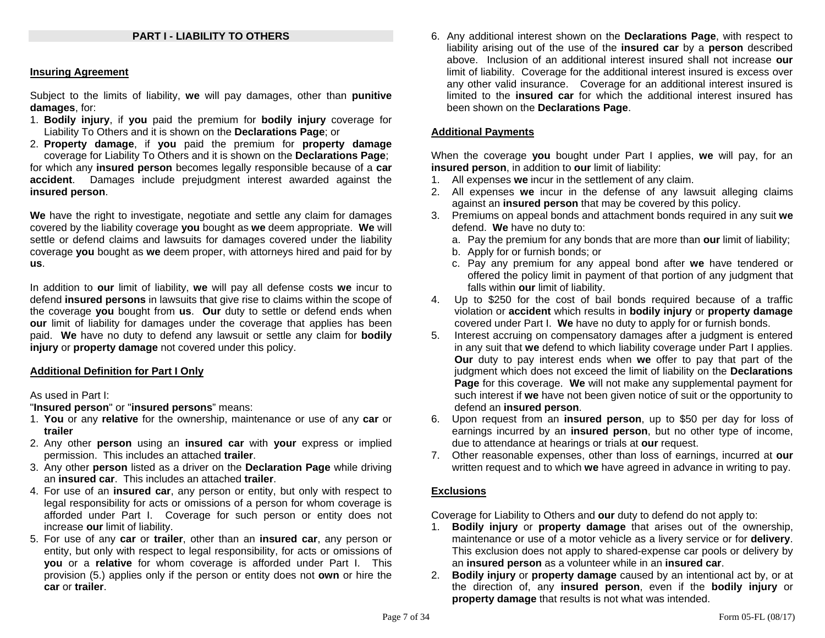### **PART I - LIABILITY TO OTHERS**

#### **Insuring Agreement**

Subject to the limits of liability, **we** will pay damages, other than **punitive damages**, for:

- 1. **Bodily injury**, if **you** paid the premium for **bodily injury** coverage for Liability To Others and it is shown on the **Declarations Page**; or
- 2. **Property damage**, if **you** paid the premium for **property damage**  coverage for Liability To Others and it is shown on the **Declarations Page**; for which any **insured person** becomes legally responsible because of a **car accident**. Damages include prejudgment interest awarded against the **insured person**.

**We** have the right to investigate, negotiate and settle any claim for damages covered by the liability coverage **you** bought as **we** deem appropriate. **We** will settle or defend claims and lawsuits for damages covered under the liability coverage **you** bought as **we** deem proper, with attorneys hired and paid for by **us**.

In addition to **our** limit of liability, **we** will pay all defense costs **we** incur to defend **insured persons** in lawsuits that give rise to claims within the scope of the coverage **you** bought from **us**. **Our** duty to settle or defend ends when **our** limit of liability for damages under the coverage that applies has been paid. **We** have no duty to defend any lawsuit or settle any claim for **bodily injury** or **property damage** not covered under this policy.

### **Additional Definition for Part I Only**

#### As used in Part I:

"**Insured person**" or "**insured persons**" means:

- 1. **You** or any **relative** for the ownership, maintenance or use of any **car** or **trailer**
- 2. Any other **person** using an **insured car** with **your** express or implied permission. This includes an attached **trailer**.
- 3. Any other **person** listed as a driver on the **Declaration Page** while driving an **insured car**. This includes an attached **trailer**.
- 4. For use of an **insured car**, any person or entity, but only with respect to legal responsibility for acts or omissions of a person for whom coverage is afforded under Part I. Coverage for such person or entity does not increase **our** limit of liability.
- 5. For use of any **car** or **trailer**, other than an **insured car**, any person or entity, but only with respect to legal responsibility, for acts or omissions of **you** or a **relative** for whom coverage is afforded under Part I. This provision (5.) applies only if the person or entity does not **own** or hire the **car** or **trailer**.

6. Any additional interest shown on the **Declarations Page**, with respect to liability arising out of the use of the **insured car** by a **person** described above. Inclusion of an additional interest insured shall not increase **our**limit of liability. Coverage for the additional interest insured is excess over any other valid insurance. Coverage for an additional interest insured is limited to the **insured car** for which the additional interest insured has been shown on the **Declarations Page**.

#### **Additional Payments**

When the coverage **you** bought under Part I applies, **we** will pay, for an **insured person**, in addition to **our** limit of liability:

- 1. All expenses **we** incur in the settlement of any claim.
- 2. All expenses **we** incur in the defense of any lawsuit alleging claims against an **insured person** that may be covered by this policy.
- 3. Premiums on appeal bonds and attachment bonds required in any suit **we**  defend. **We** have no duty to:
	- a. Pay the premium for any bonds that are more than **our** limit of liability;
	- b. Apply for or furnish bonds; or
	- c. Pay any premium for any appeal bond after **we** have tendered or offered the policy limit in payment of that portion of any judgment that falls within **our** limit of liability.
- 4. Up to \$250 for the cost of bail bonds required because of a traffic violation or **accident** which results in **bodily injury** or **property damage** covered under Part I. **We** have no duty to apply for or furnish bonds.
- 5. Interest accruing on compensatory damages after a judgment is entered in any suit that **we** defend to which liability coverage under Part I applies. **Our** duty to pay interest ends when **we** offer to pay that part of the judgment which does not exceed the limit of liability on the **Declarations Page** for this coverage. **We** will not make any supplemental payment for such interest if **we** have not been given notice of suit or the opportunity to defend an **insured person**.
- 6. Upon request from an **insured person**, up to \$50 per day for loss of earnings incurred by an **insured person**, but no other type of income, due to attendance at hearings or trials at **our** request.
- 7. Other reasonable expenses, other than loss of earnings, incurred at **our** written request and to which **we** have agreed in advance in writing to pay.

### **Exclusions**

Coverage for Liability to Others and **our** duty to defend do not apply to:

- 1. **Bodily injury** or **property damage** that arises out of the ownership, maintenance or use of a motor vehicle as a livery service or for **delivery**. This exclusion does not apply to shared-expense car pools or delivery by an **insured person** as a volunteer while in an **insured car**.
- 2. **Bodily injury** or **property damage** caused by an intentional act by, or at the direction of, any **insured person**, even if the **bodily injury** or **property damage** that results is not what was intended.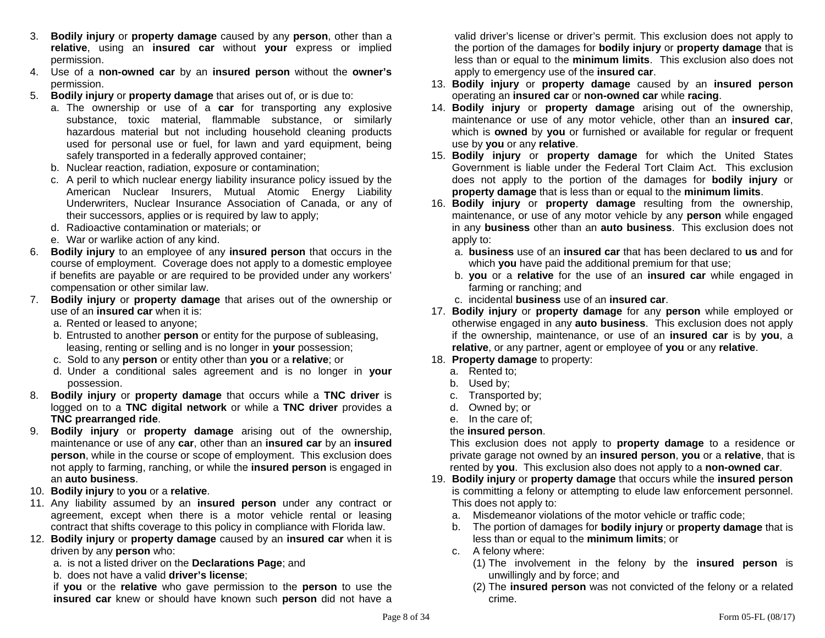- 3. **Bodily injury** or **property damage** caused by any **person**, other than a **relative**, using an **insured car** without **your** express or implied permission.
- 4. Use of a **non-owned car** by an **insured person** without the **owner's** permission.
- 5. **Bodily injury** or **property damage** that arises out of, or is due to:
	- a. The ownership or use of a **car** for transporting any explosive substance, toxic material, flammable substance, or similarly hazardous material but not including household cleaning products used for personal use or fuel, for lawn and yard equipment, being safely transported in a federally approved container;
	- b. Nuclear reaction, radiation, exposure or contamination;
	- c. A peril to which nuclear energy liability insurance policy issued by the American Nuclear Insurers, Mutual Atomic Energy Liability Underwriters, Nuclear Insurance Association of Canada, or any of their successors, applies or is required by law to apply;
	- d. Radioactive contamination or materials; or
	- e. War or warlike action of any kind.
- 6. **Bodily injury** to an employee of any **insured person** that occurs in the course of employment. Coverage does not apply to a domestic employee if benefits are payable or are required to be provided under any workers' compensation or other similar law.
- 7. **Bodily injury** or **property damage** that arises out of the ownership or use of an **insured car** when it is:
	- a. Rented or leased to anyone;
	- b. Entrusted to another **person** or entity for the purpose of subleasing, leasing, renting or selling and is no longer in **your** possession;
	- c. Sold to any **person** or entity other than **you** or a **relative**; or
	- d. Under a conditional sales agreement and is no longer in **your**  possession.
- 8. **Bodily injury** or **property damage** that occurs while a **TNC driver** is logged on to a **TNC digital network** or while a **TNC driver** provides a **TNC prearranged ride**.
- 9. **Bodily injury** or **property damage** arising out of the ownership, maintenance or use of any **car**, other than an **insured car** by an **insured person**, while in the course or scope of employment. This exclusion does not apply to farming, ranching, or while the **insured person** is engaged in an **auto business**.
- 10. **Bodily injury** to **you** or a **relative**.
- 11. Any liability assumed by an **insured person** under any contract or agreement, except when there is a motor vehicle rental or leasing contract that shifts coverage to this policy in compliance with Florida law.
- 12. **Bodily injury** or **property damage** caused by an **insured car** when it is driven by any **person** who:
	- a. is not a listed driver on the **Declarations Page**; and
	- b. does not have a valid **driver's license**;

if **you** or the **relative** who gave permission to the **person** to use the **insured car** knew or should have known such **person** did not have a valid driver's license or driver's permit. This exclusion does not apply to the portion of the damages for **bodily injury** or **property damage** that is less than or equal to the **minimum limits**. This exclusion also does not apply to emergency use of the **insured car**.

- 13. **Bodily injury** or **property damage** caused by an **insured person**  operating an **insured car** or **non-owned car** while **racing**.
- 14. **Bodily injury** or **property damage** arising out of the ownership, maintenance or use of any motor vehicle, other than an **insured car**, which is **owned** by **you** or furnished or available for regular or frequent use by **you** or any **relative**.
- 15. **Bodily injury** or **property damage** for which the United States Government is liable under the Federal Tort Claim Act. This exclusion does not apply to the portion of the damages for **bodily injury** or **property damage** that is less than or equal to the **minimum limits**.
- 16. **Bodily injury** or **property damage** resulting from the ownership, maintenance, or use of any motor vehicle by any **person** while engaged in any **business** other than an **auto business**. This exclusion does not apply to:
	- a. **business** use of an **insured car** that has been declared to **us** and for which **you** have paid the additional premium for that use;
	- b. **you** or a **relative** for the use of an **insured car** while engaged in farming or ranching; and
	- c. incidental **business** use of an **insured car**.
- 17. **Bodily injury** or **property damage** for any **person** while employed or otherwise engaged in any **auto business**. This exclusion does not apply if the ownership, maintenance, or use of an **insured car** is by **you**, <sup>a</sup> **relative**, or any partner, agent or employee of **you** or any **relative**.
- 18. **Property damage** to property:
	- a. Rented to;
	- b. Used by;
	- c. Transported by;
	- d. Owned by; or
	- e. In the care of;
	- the **insured person**.

 This exclusion does not apply to **property damage** to a residence or private garage not owned by an **insured person**, **you** or a **relative**, that is rented by **you**. This exclusion also does not apply to a **non-owned car**.

- 19. **Bodily injury** or **property damage** that occurs while the **insured person** is committing a felony or attempting to elude law enforcement personnel. This does not apply to:
	- a. Misdemeanor violations of the motor vehicle or traffic code;
	- b. The portion of damages for **bodily injury** or **property damage** that is less than or equal to the **minimum limits**; or
	- c. A felony where:
		- (1) The involvement in the felony by the **insured person** is unwillingly and by force; and
		- (2) The **insured person** was not convicted of the felony or a related crime.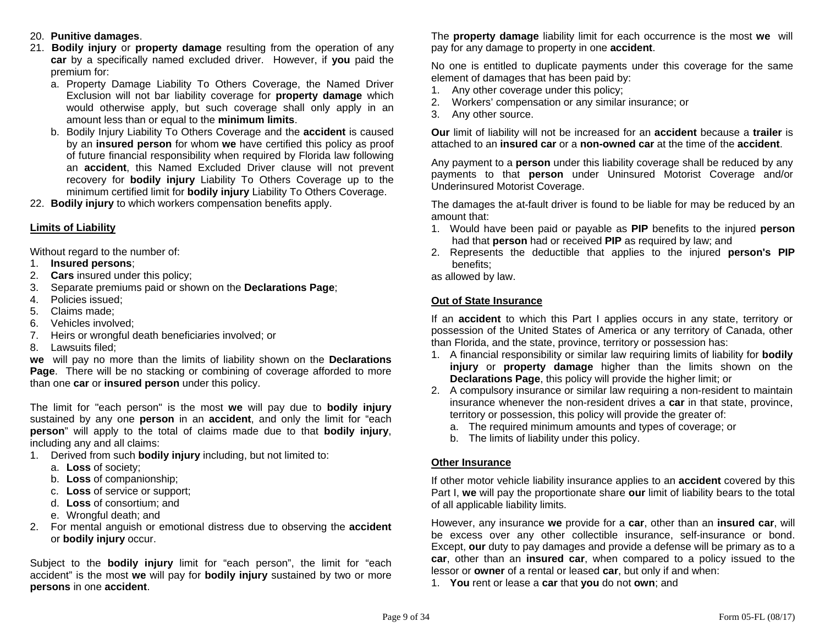- 20. **Punitive damages**.
- 21. **Bodily injury** or **property damage** resulting from the operation of any **car** by a specifically named excluded driver. However, if **you** paid the premium for:
	- a. Property Damage Liability To Others Coverage, the Named Driver Exclusion will not bar liability coverage for **property damage** which would otherwise apply, but such coverage shall only apply in an amount less than or equal to the **minimum limits**.
	- b. Bodily Injury Liability To Others Coverage and the **accident** is caused by an **insured person** for whom **we** have certified this policy as proof of future financial responsibility when required by Florida law following an **accident**, this Named Excluded Driver clause will not prevent recovery for **bodily injury** Liability To Others Coverage up to the minimum certified limit for **bodily injury** Liability To Others Coverage.
- 22. **Bodily injury** to which workers compensation benefits apply.

### **Limits of Liability**

Without regard to the number of:

- 1. **Insured persons**;
- 2. **Cars** insured under this policy;
- 3. Separate premiums paid or shown on the **Declarations Page**;
- 4. Policies issued;
- 5. Claims made;
- 6. Vehicles involved;
- 7. Heirs or wrongful death beneficiaries involved; or
- 8. Lawsuits filed;

**we** will pay no more than the limits of liability shown on the **Declarations Page**. There will be no stacking or combining of coverage afforded to more than one **car** or **insured person** under this policy.

The limit for "each person" is the most **we** will pay due to **bodily injury** sustained by any one **person** in an **accident**, and only the limit for "each **person**" will apply to the total of claims made due to that **bodily injury**, including any and all claims:

- 1. Derived from such **bodily injury** including, but not limited to:
	- a. **Loss** of society;
	- b. **Loss** of companionship;
	- c. **Loss** of service or support;
	- d. **Loss** of consortium; and
	- e. Wrongful death; and
- 2. For mental anguish or emotional distress due to observing the **accident** or **bodily injury** occur.

Subject to the **bodily injury** limit for "each person", the limit for "each accident" is the most **we** will pay for **bodily injury** sustained by two or more **persons** in one **accident**.

The **property damage** liability limit for each occurrence is the most **we** will pay for any damage to property in one **accident**.

No one is entitled to duplicate payments under this coverage for the same element of damages that has been paid by:

- 1. Any other coverage under this policy;
- 2. Workers' compensation or any similar insurance; or
- 3. Any other source.

**Our** limit of liability will not be increased for an **accident** because a **trailer** is attached to an **insured car** or a **non-owned car** at the time of the **accident**.

Any payment to a **person** under this liability coverage shall be reduced by any payments to that **person** under Uninsured Motorist Coverage and/or Underinsured Motorist Coverage.

The damages the at-fault driver is found to be liable for may be reduced by an amount that:

- 1. Would have been paid or payable as **PIP** benefits to the injured **person** had that **person** had or received **PIP** as required by law; and
- 2. Represents the deductible that applies to the injured **person's PIP** benefits;
- as allowed by law.

### **Out of State Insurance**

If an **accident** to which this Part I applies occurs in any state, territory or possession of the United States of America or any territory of Canada, other than Florida, and the state, province, territory or possession has:

- 1. A financial responsibility or similar law requiring limits of liability for **bodily injury** or **property damage** higher than the limits shown on the **Declarations Page**, this policy will provide the higher limit; or
- 2. A compulsory insurance or similar law requiring a non-resident to maintain insurance whenever the non-resident drives a **car** in that state, province, territory or possession, this policy will provide the greater of:
	- a. The required minimum amounts and types of coverage; or
	- b. The limits of liability under this policy.

### **Other Insurance**

If other motor vehicle liability insurance applies to an **accident** covered by this Part I, **we** will pay the proportionate share **our** limit of liability bears to the total of all applicable liability limits.

However, any insurance **we** provide for a **car**, other than an **insured car**, will be excess over any other collectible insurance, self-insurance or bond. Except, **our** duty to pay damages and provide a defense will be primary as to a **car**, other than an **insured car**, when compared to a policy issued to the lessor or **owner** of a rental or leased **car**, but only if and when:

1. **You** rent or lease a **car** that **you** do not **own**; and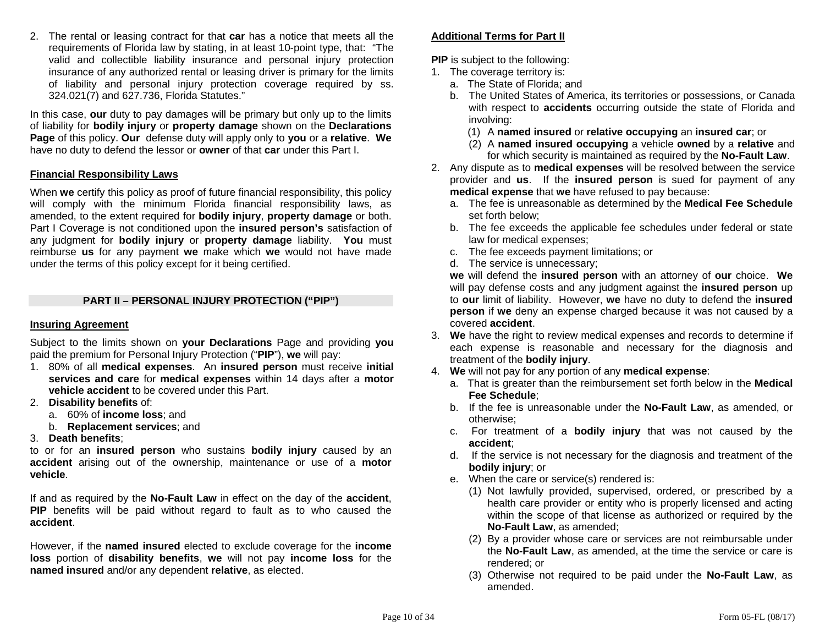2. The rental or leasing contract for that **car** has a notice that meets all the requirements of Florida law by stating, in at least 10-point type, that: "The valid and collectible liability insurance and personal injury protection insurance of any authorized rental or leasing driver is primary for the limits of liability and personal injury protection coverage required by ss. 324.021(7) and 627.736, Florida Statutes."

In this case, **our** duty to pay damages will be primary but only up to the limits of liability for **bodily injury** or **property damage** shown on the **Declarations Page** of this policy. **Our** defense duty will apply only to **you** or a **relative**. **We** have no duty to defend the lessor or **owner** of that **car** under this Part I.

### **Financial Responsibility Laws**

When **we** certify this policy as proof of future financial responsibility, this policy will comply with the minimum Florida financial responsibility laws, as amended, to the extent required for **bodily injury**, **property damage** or both. Part I Coverage is not conditioned upon the **insured person's** satisfaction of any judgment for **bodily injury** or **property damage** liability. **You** must reimburse **us** for any payment **we** make which **we** would not have made under the terms of this policy except for it being certified.

#### **PART II – PERSONAL INJURY PROTECTION ("PIP")**

### **Insuring Agreement**

Subject to the limits shown on **your Declarations** Page and providing **you** paid the premium for Personal Injury Protection ("**PIP**"), **we** will pay:

- 1. 80% of all **medical expenses**. An **insured person** must receive **initial services and care** for **medical expenses** within 14 days after a **motor vehicle accident** to be covered under this Part.
- 2. **Disability benefits** of:
	- a. 60% of **income loss**; and
	- b. **Replacement services**; and
- 3. **Death benefits**;

to or for an **insured person** who sustains **bodily injury** caused by an **accident** arising out of the ownership, maintenance or use of a **motor vehicle**.

If and as required by the **No-Fault Law** in effect on the day of the **accident**, **PIP** benefits will be paid without regard to fault as to who caused the **accident**.

However, if the **named insured** elected to exclude coverage for the **income loss** portion of **disability benefits**, **we** will not pay **income loss** for the **named insured** and/or any dependent **relative**, as elected.

### **Additional Terms for Part II**

**PIP** is subject to the following:

- 1. The coverage territory is:
	- a. The State of Florida; and
	- b. The United States of America, its territories or possessions, or Canada with respect to **accidents** occurring outside the state of Florida and involving:
		- (1) A **named insured** or **relative occupying** an **insured car**; or
		- (2) A **named insured occupying** a vehicle **owned** by a **relative** and for which security is maintained as required by the **No-Fault Law**.
- 2. Any dispute as to **medical expenses** will be resolved between the service provider and **us**. If the **insured person** is sued for payment of any **medical expense** that **we** have refused to pay because:
	- a. The fee is unreasonable as determined by the **Medical Fee Schedule** set forth below;
	- b. The fee exceeds the applicable fee schedules under federal or state law for medical expenses;
	- c. The fee exceeds payment limitations; or
	- d. The service is unnecessary;

**we** will defend the **insured person** with an attorney of **our** choice. **We** will pay defense costs and any judgment against the **insured person** up to **our** limit of liability. However, **we** have no duty to defend the **insured person** if **we** deny an expense charged because it was not caused by a covered **accident**.

- 3. **We** have the right to review medical expenses and records to determine if each expense is reasonable and necessary for the diagnosis and treatment of the **bodily injury**.
- 4. **We** will not pay for any portion of any **medical expense**:
	- a. That is greater than the reimbursement set forth below in the **Medical Fee Schedule**;
	- b. If the fee is unreasonable under the **No-Fault Law**, as amended, or otherwise;
	- c. For treatment of a **bodily injury** that was not caused by the **accident**;
	- d. If the service is not necessary for the diagnosis and treatment of the **bodily injury**; or
	- e. When the care or service(s) rendered is:
		- (1) Not lawfully provided, supervised, ordered, or prescribed by a health care provider or entity who is properly licensed and acting within the scope of that license as authorized or required by the **No-Fault Law**, as amended;
		- (2) By a provider whose care or services are not reimbursable under the **No-Fault Law**, as amended, at the time the service or care is rendered; or
		- (3) Otherwise not required to be paid under the **No-Fault Law**, as amended.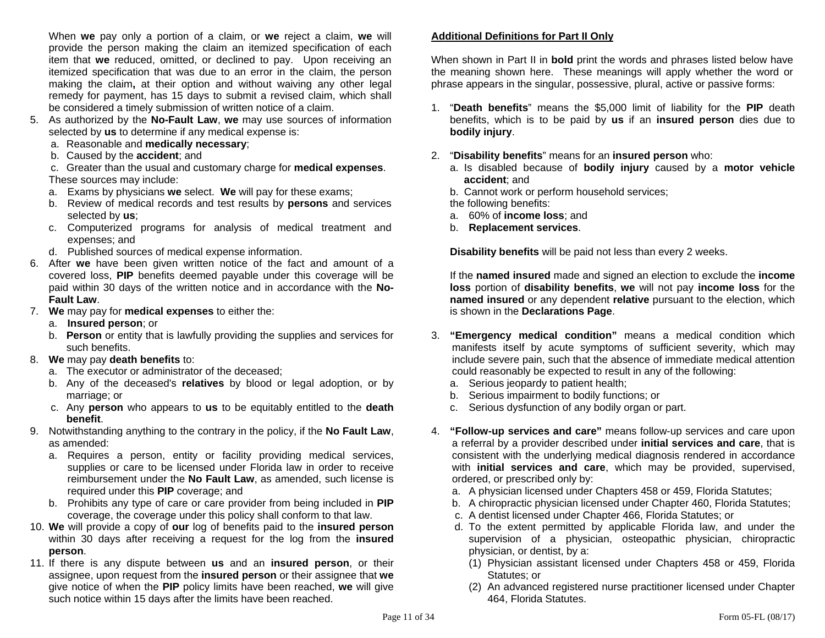When **we** pay only a portion of a claim, or **we** reject a claim, **we** will provide the person making the claim an itemized specification of each item that **we** reduced, omitted, or declined to pay. Upon receiving an itemized specification that was due to an error in the claim, the person making the claim**,** at their option and without waiving any other legal remedy for payment, has 15 days to submit a revised claim, which shall be considered a timely submission of written notice of a claim.

- 5. As authorized by the **No-Fault Law**, **we** may use sources of information selected by **us** to determine if any medical expense is:
	- a. Reasonable and **medically necessary**;
	- b. Caused by the **accident**; and

 c. Greater than the usual and customary charge for **medical expenses**. These sources may include:

- a. Exams by physicians **we** select. **We** will pay for these exams;
- b. Review of medical records and test results by **persons** and services selected by **us**;
- c. Computerized programs for analysis of medical treatment and expenses; and
- d. Published sources of medical expense information.
- 6. After **we** have been given written notice of the fact and amount of a covered loss, **PIP** benefits deemed payable under this coverage will be paid within 30 days of the written notice and in accordance with the **No-Fault Law**.
- 7. **We** may pay for **medical expenses** to either the:
	- a. **Insured person**; or
	- b. **Person** or entity that is lawfully providing the supplies and services for such benefits.
- 8. **We** may pay **death benefits** to:
	- a. The executor or administrator of the deceased;
	- b. Any of the deceased's **relatives** by blood or legal adoption, or by marriage; or
	- c. Any **person** who appears to **us** to be equitably entitled to the **death benefit**.
- 9. Notwithstanding anything to the contrary in the policy, if the **No Fault Law**, as amended:
	- a. Requires a person, entity or facility providing medical services, supplies or care to be licensed under Florida law in order to receive reimbursement under the **No Fault Law**, as amended, such license is required under this **PIP** coverage; and
	- b. Prohibits any type of care or care provider from being included in **PIP** coverage, the coverage under this policy shall conform to that law.
- 10. **We** will provide a copy of **our** log of benefits paid to the **insured person** within 30 days after receiving a request for the log from the **insured person**.
- 11. If there is any dispute between **us** and an **insured person**, or their assignee, upon request from the **insured person** or their assignee that **we** give notice of when the **PIP** policy limits have been reached, **we** will give such notice within 15 days after the limits have been reached.

# **Additional Definitions for Part II Only**

When shown in Part II in **bold** print the words and phrases listed below have the meaning shown here. These meanings will apply whether the word or phrase appears in the singular, possessive, plural, active or passive forms:

- 1. "**Death benefits**" means the \$5,000 limit of liability for the **PIP** death benefits, which is to be paid by **us** if an **insured person** dies due to **bodily injury**.
- 2. "**Disability benefits**" means for an **insured person** who:
	- a. Is disabled because of **bodily injury** caused by a **motor vehicle accident**; and
	- b. Cannot work or perform household services;

the following benefits:

- a. 60% of **income loss**; and
- b. **Replacement services**.

**Disability benefits** will be paid not less than every 2 weeks.

 If the **named insured** made and signed an election to exclude the **income loss** portion of **disability benefits**, **we** will not pay **income loss** for the **named insured** or any dependent **relative** pursuant to the election, which is shown in the **Declarations Page**.

- 3. **"Emergency medical condition"** means a medical condition which manifests itself by acute symptoms of sufficient severity, which may include severe pain, such that the absence of immediate medical attention could reasonably be expected to result in any of the following:
	- a. Serious jeopardy to patient health;
	- b. Serious impairment to bodily functions; or
	- c. Serious dysfunction of any bodily organ or part.
- 4. **"Follow-up services and care"** means follow-up services and care upon a referral by a provider described under **initial services and care**, that is consistent with the underlying medical diagnosis rendered in accordance with **initial services and care**, which may be provided, supervised, ordered, or prescribed only by:
	- a. A physician licensed under Chapters 458 or 459, Florida Statutes;
	- b. A chiropractic physician licensed under Chapter 460, Florida Statutes;
	- c. A dentist licensed under Chapter 466, Florida Statutes; or
	- d. To the extent permitted by applicable Florida law, and under the supervision of a physician, osteopathic physician, chiropractic physician, or dentist, by a:
		- (1) Physician assistant licensed under Chapters 458 or 459, Florida Statutes; or
		- (2) An advanced registered nurse practitioner licensed under Chapter 464, Florida Statutes.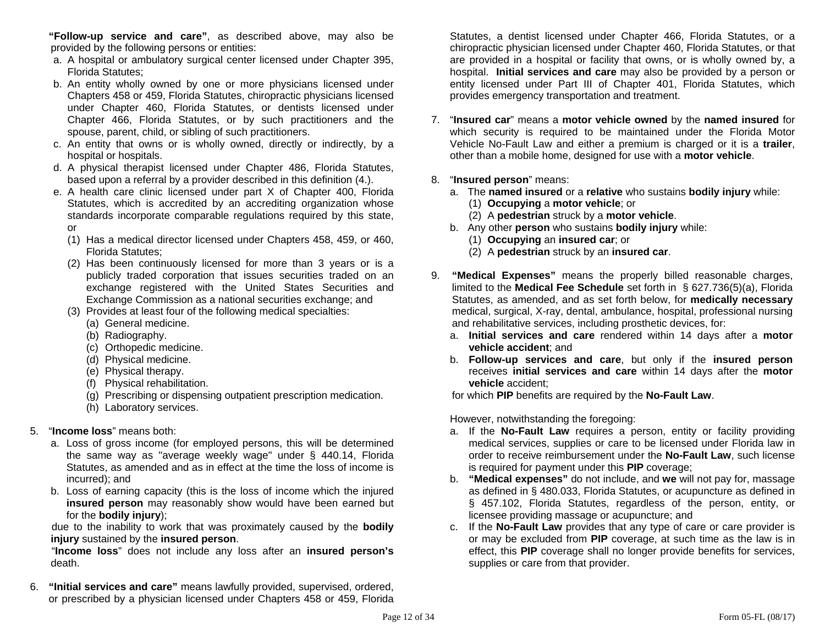**"Follow-up service and care"**, as described above, may also be provided by the following persons or entities:

- a. A hospital or ambulatory surgical center licensed under Chapter 395, Florida Statutes;
- b. An entity wholly owned by one or more physicians licensed under Chapters 458 or 459, Florida Statutes, chiropractic physicians licensed under Chapter 460, Florida Statutes, or dentists licensed under Chapter 466, Florida Statutes, or by such practitioners and the spouse, parent, child, or sibling of such practitioners.
- c. An entity that owns or is wholly owned, directly or indirectly, by a hospital or hospitals.
- d. A physical therapist licensed under Chapter 486, Florida Statutes, based upon a referral by a provider described in this definition (4.).
- e. A health care clinic licensed under part X of Chapter 400, Florida Statutes, which is accredited by an accrediting organization whose standards incorporate comparable regulations required by this state, or
	- (1) Has a medical director licensed under Chapters 458, 459, or 460, Florida Statutes;
	- (2) Has been continuously licensed for more than 3 years or is a publicly traded corporation that issues securities traded on an exchange registered with the United States Securities and Exchange Commission as a national securities exchange; and
	- (3) Provides at least four of the following medical specialties:
		- (a) General medicine.
		- (b) Radiography.
		- (c) Orthopedic medicine.
		- (d) Physical medicine.
		- (e) Physical therapy.
		- (f) Physical rehabilitation.
		- (g) Prescribing or dispensing outpatient prescription medication.
		- (h) Laboratory services.

# 5. "**Income loss**" means both:

- a. Loss of gross income (for employed persons, this will be determined the same way as "average weekly wage" under § 440.14, Florida Statutes, as amended and as in effect at the time the loss of income is incurred); and
- b. Loss of earning capacity (this is the loss of income which the injured **insured person** may reasonably show would have been earned but for the **bodily injury**);

 due to the inability to work that was proximately caused by the **bodily injury** sustained by the **insured person**.

 "**Income loss**" does not include any loss after an **insured person's** death.

6. **"Initial services and care"** means lawfully provided, supervised, ordered, or prescribed by a physician licensed under Chapters 458 or 459, Florida

Statutes, a dentist licensed under Chapter 466, Florida Statutes, or a chiropractic physician licensed under Chapter 460, Florida Statutes, or that are provided in a hospital or facility that owns, or is wholly owned by, a hospital. **Initial services and care** may also be provided by a person or entity licensed under Part III of Chapter 401, Florida Statutes, which provides emergency transportation and treatment.

- 7. "**Insured car**" means a **motor vehicle owned** by the **named insured** for which security is required to be maintained under the Florida Motor Vehicle No-Fault Law and either a premium is charged or it is a **trailer**, other than a mobile home, designed for use with a **motor vehicle**.
- 8. "**Insured person**" means:
	- a. The **named insured** or a **relative** who sustains **bodily injury** while:
		- (1) **Occupying** a **motor vehicle**; or
		- (2) A **pedestrian** struck by a **motor vehicle**.
	- b. Any other **person** who sustains **bodily injury** while:
		- (1) **Occupying** an **insured car**; or
		- (2) A **pedestrian** struck by an **insured car**.
- 9. **"Medical Expenses"** means the properly billed reasonable charges, limited to the **Medical Fee Schedule** set forth in § 627.736(5)(a), Florida Statutes, as amended, and as set forth below, for **medically necessary** medical, surgical, X-ray, dental, ambulance, hospital, professional nursing and rehabilitative services, including prosthetic devices, for:
	- a. **Initial services and care** rendered within 14 days after a **motor vehicle accident**; and
	- b. **Follow-up services and care**, but only if the **insured person** receives **initial services and care** within 14 days after the **motor vehicle** accident;

for which **PIP** benefits are required by the **No-Fault Law**.

However, notwithstanding the foregoing:

- a. If the **No-Fault Law** requires a person, entity or facility providing medical services, supplies or care to be licensed under Florida law in order to receive reimbursement under the **No-Fault Law**, such license is required for payment under this **PIP** coverage;
- b. **"Medical expenses"** do not include, and **we** will not pay for, massage as defined in § 480.033, Florida Statutes, or acupuncture as defined in § 457.102, Florida Statutes, regardless of the person, entity, or licensee providing massage or acupuncture; and
- c. If the **No-Fault Law** provides that any type of care or care provider is or may be excluded from **PIP** coverage, at such time as the law is in effect, this **PIP** coverage shall no longer provide benefits for services, supplies or care from that provider.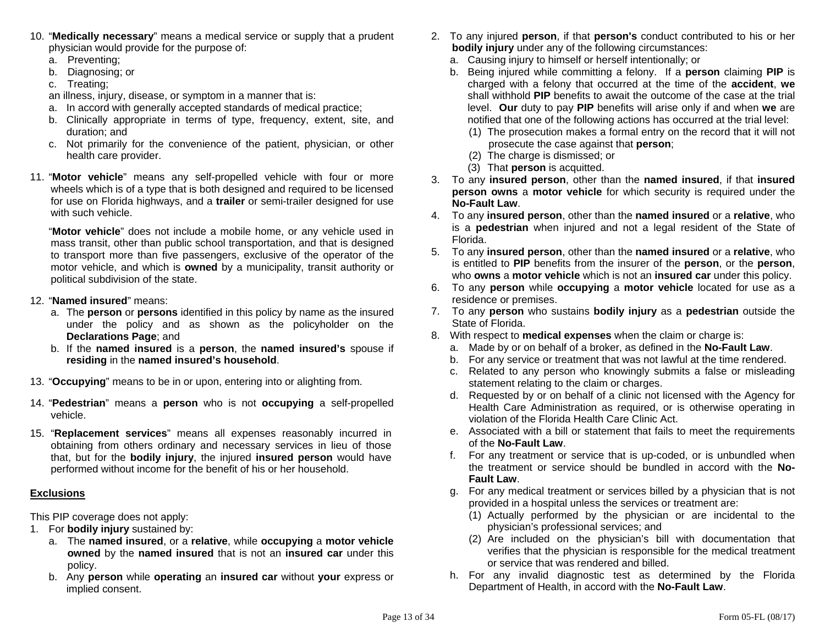- 10. "**Medically necessary**" means a medical service or supply that a prudent physician would provide for the purpose of:
	- a. Preventing;
	- b. Diagnosing; or
	- c. Treating;
	- an illness, injury, disease, or symptom in a manner that is:
	- a. In accord with generally accepted standards of medical practice;
	- b. Clinically appropriate in terms of type, frequency, extent, site, and duration; and
	- c. Not primarily for the convenience of the patient, physician, or other health care provider.
- 11. "**Motor vehicle**" means any self-propelled vehicle with four or more wheels which is of a type that is both designed and required to be licensed for use on Florida highways, and a **trailer** or semi-trailer designed for use with such vehicle.

 "**Motor vehicle**" does not include a mobile home, or any vehicle used in mass transit, other than public school transportation, and that is designed to transport more than five passengers, exclusive of the operator of the motor vehicle, and which is **owned** by a municipality, transit authority or political subdivision of the state.

- 12. "**Named insured**" means:
	- a. The **person** or **persons** identified in this policy by name as the insured under the policy and as shown as the policyholder on the **Declarations Page**; and
	- b. If the **named insured** is a **person**, the **named insured's** spouse if **residing** in the **named insured's household**.
- 13. "**Occupying**" means to be in or upon, entering into or alighting from.
- 14. "**Pedestrian**" means a **person** who is not **occupying** a self-propelled vehicle.
- 15. "**Replacement services**" means all expenses reasonably incurred in obtaining from others ordinary and necessary services in lieu of those that, but for the **bodily injury**, the injured **insured person** would have performed without income for the benefit of his or her household.

# **Exclusions**

This PIP coverage does not apply:

- 1. For **bodily injury** sustained by:
	- a. The **named insured**, or a **relative**, while **occupying** a **motor vehicle owned** by the **named insured** that is not an **insured car** under this policy.
	- b. Any **person** while **operating** an **insured car** without **your** express or implied consent.
- 2. To any injured **person**, if that **person's** conduct contributed to his or her **bodily injury** under any of the following circumstances:
	- a. Causing injury to himself or herself intentionally; or
	- b. Being injured while committing a felony. If a **person** claiming **PIP** is charged with a felony that occurred at the time of the **accident**, **we** shall withhold **PIP** benefits to await the outcome of the case at the trial level. **Our** duty to pay **PIP** benefits will arise only if and when **we** are notified that one of the following actions has occurred at the trial level:
		- (1) The prosecution makes a formal entry on the record that it will not prosecute the case against that **person**;
		- (2) The charge is dismissed; or
		- (3) That **person** is acquitted.
- 3. To any **insured person**, other than the **named insured**, if that **insured person owns** a **motor vehicle** for which security is required under the **No-Fault Law**.
- 4. To any **insured person**, other than the **named insured** or a **relative**, who is a **pedestrian** when injured and not a legal resident of the State of Florida.
- 5. To any **insured person**, other than the **named insured** or a **relative**, who is entitled to **PIP** benefits from the insurer of the **person**, or the **person**, who **owns** a **motor vehicle** which is not an **insured car** under this policy.
- 6. To any **person** while **occupying** a **motor vehicle** located for use as a residence or premises.
- 7. To any **person** who sustains **bodily injury** as a **pedestrian** outside the State of Florida.
- 8. With respect to **medical expenses** when the claim or charge is:
	- a. Made by or on behalf of a broker, as defined in the **No-Fault Law**.
	- b. For any service or treatment that was not lawful at the time rendered.
	- c. Related to any person who knowingly submits a false or misleading statement relating to the claim or charges.
	- d. Requested by or on behalf of a clinic not licensed with the Agency for Health Care Administration as required, or is otherwise operating in violation of the Florida Health Care Clinic Act.
	- e. Associated with a bill or statement that fails to meet the requirements of the **No-Fault Law**.
	- f. For any treatment or service that is up-coded, or is unbundled when the treatment or service should be bundled in accord with the **No-Fault Law**.
	- g. For any medical treatment or services billed by a physician that is not provided in a hospital unless the services or treatment are:
		- (1) Actually performed by the physician or are incidental to the physician's professional services; and
		- (2) Are included on the physician's bill with documentation that verifies that the physician is responsible for the medical treatment or service that was rendered and billed.
	- h. For any invalid diagnostic test as determined by the Florida Department of Health, in accord with the **No-Fault Law**.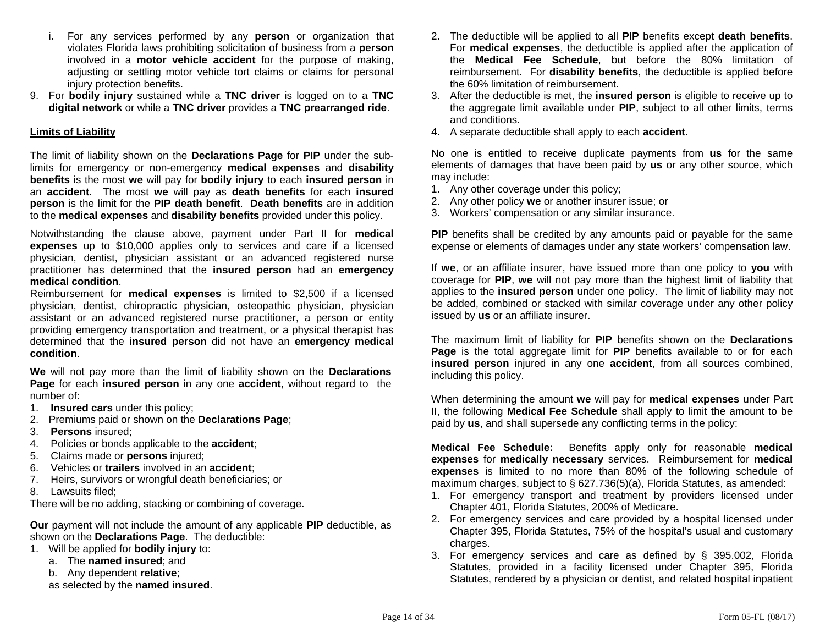- i. For any services performed by any **person** or organization that violates Florida laws prohibiting solicitation of business from a **person**  involved in a **motor vehicle accident** for the purpose of making, adjusting or settling motor vehicle tort claims or claims for personal injury protection benefits.
- 9. For **bodily injury** sustained while a **TNC driver** is logged on to a **TNC digital network** or while a **TNC driver** provides a **TNC prearranged ride**.

### **Limits of Liability**

The limit of liability shown on the **Declarations Page** for **PIP** under the sublimits for emergency or non-emergency **medical expenses** and **disability benefits** is the most **we** will pay for **bodily injury** to each **insured person** in an **accident**. The most **we** will pay as **death benefits** for each **insured person** is the limit for the **PIP death benefit**. **Death benefits** are in addition to the **medical expenses** and **disability benefits** provided under this policy.

Notwithstanding the clause above, payment under Part II for **medical expenses** up to \$10,000 applies only to services and care if a licensed physician, dentist, physician assistant or an advanced registered nurse practitioner has determined that the **insured person** had an **emergency medical condition**.

Reimbursement for **medical expenses** is limited to \$2,500 if a licensed physician, dentist, chiropractic physician, osteopathic physician, physician assistant or an advanced registered nurse practitioner, a person or entity providing emergency transportation and treatment, or a physical therapist has determined that the **insured person** did not have an **emergency medical condition**.

**We** will not pay more than the limit of liability shown on the **Declarations Page** for each **insured person** in any one **accident**, without regard to the number of:

- 1. **Insured cars** under this policy;
- 2. Premiums paid or shown on the **Declarations Page**;
- 3. **Persons** insured;
- 4. Policies or bonds applicable to the **accident**;
- 5. Claims made or **persons** injured;
- 6. Vehicles or **trailers** involved in an **accident**;
- 7. Heirs, survivors or wrongful death beneficiaries; or
- 8. Lawsuits filed;

There will be no adding, stacking or combining of coverage.

**Our** payment will not include the amount of any applicable **PIP** deductible, as shown on the **Declarations Page**. The deductible:

- 1. Will be applied for **bodily injury** to:
	- a. The **named insured**; and
	- b. Any dependent **relative**;
	- as selected by the **named insured**.
- 2. The deductible will be applied to all **PIP** benefits except **death benefits**. For **medical expenses**, the deductible is applied after the application of the **Medical Fee Schedule**, but before the 80% limitation of reimbursement. For **disability benefits**, the deductible is applied before the 60% limitation of reimbursement.
- 3. After the deductible is met, the **insured person** is eligible to receive up to the aggregate limit available under **PIP**, subject to all other limits, terms and conditions.
- 4. A separate deductible shall apply to each **accident**.

No one is entitled to receive duplicate payments from **us** for the same elements of damages that have been paid by **us** or any other source, which may include:

- 1. Any other coverage under this policy;
- 2. Any other policy **we** or another insurer issue; or
- 3. Workers' compensation or any similar insurance.

**PIP** benefits shall be credited by any amounts paid or payable for the same expense or elements of damages under any state workers' compensation law.

If **we**, or an affiliate insurer, have issued more than one policy to **you** with coverage for **PIP**, **we** will not pay more than the highest limit of liability that applies to the **insured person** under one policy. The limit of liability may not be added, combined or stacked with similar coverage under any other policy issued by **us** or an affiliate insurer.

The maximum limit of liability for **PIP** benefits shown on the **Declarations Page** is the total aggregate limit for **PIP** benefits available to or for each **insured person** injured in any one **accident**, from all sources combined, including this policy.

When determining the amount **we** will pay for **medical expenses** under Part II, the following **Medical Fee Schedule** shall apply to limit the amount to be paid by **us**, and shall supersede any conflicting terms in the policy:

**Medical Fee Schedule:** Benefits apply only for reasonable **medical expenses** for **medically necessary** services. Reimbursement for **medical expenses** is limited to no more than 80% of the following schedule of maximum charges, subject to § 627.736(5)(a), Florida Statutes, as amended:

- 1. For emergency transport and treatment by providers licensed under Chapter 401, Florida Statutes, 200% of Medicare.
- 2. For emergency services and care provided by a hospital licensed under Chapter 395, Florida Statutes, 75% of the hospital's usual and customary charges.
- 3. For emergency services and care as defined by § 395.002, Florida Statutes, provided in a facility licensed under Chapter 395, Florida Statutes, rendered by a physician or dentist, and related hospital inpatient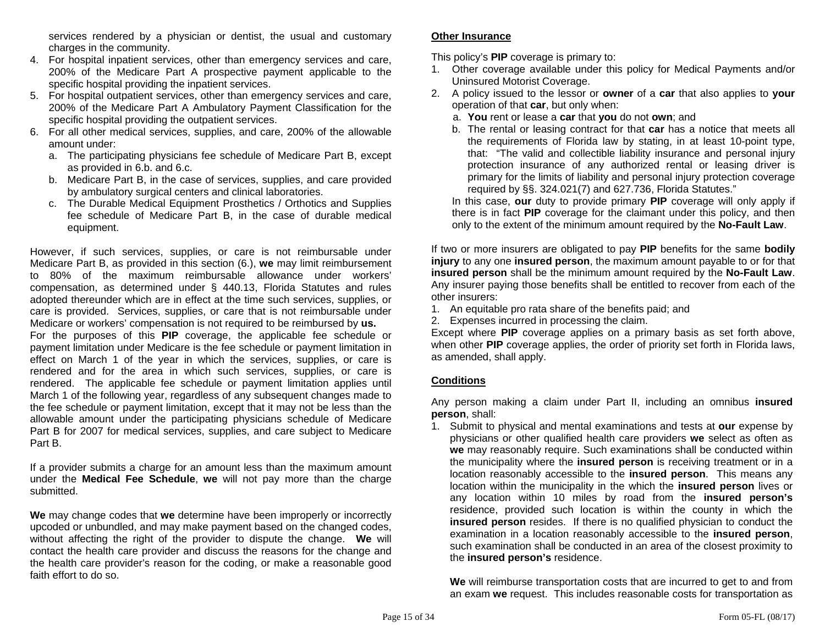services rendered by a physician or dentist, the usual and customary charges in the community.

- 4. For hospital inpatient services, other than emergency services and care, 200% of the Medicare Part A prospective payment applicable to the specific hospital providing the inpatient services.
- 5. For hospital outpatient services, other than emergency services and care, 200% of the Medicare Part A Ambulatory Payment Classification for the specific hospital providing the outpatient services.
- 6. For all other medical services, supplies, and care, 200% of the allowable amount under:
	- a. The participating physicians fee schedule of Medicare Part B, except as provided in 6.b. and 6.c.
	- b. Medicare Part B, in the case of services, supplies, and care provided by ambulatory surgical centers and clinical laboratories.
	- c. The Durable Medical Equipment Prosthetics / Orthotics and Supplies fee schedule of Medicare Part B, in the case of durable medical equipment.

However, if such services, supplies, or care is not reimbursable under Medicare Part B, as provided in this section (6.), **we** may limit reimbursement to 80% of the maximum reimbursable allowance under workers' compensation, as determined under § 440.13, Florida Statutes and rules adopted thereunder which are in effect at the time such services, supplies, or care is provided. Services, supplies, or care that is not reimbursable under Medicare or workers' compensation is not required to be reimbursed by **us.** For the purposes of this **PIP** coverage, the applicable fee schedule or payment limitation under Medicare is the fee schedule or payment limitation in effect on March 1 of the year in which the services, supplies, or care is rendered and for the area in which such services, supplies, or care is rendered. The applicable fee schedule or payment limitation applies until March 1 of the following year, regardless of any subsequent changes made to the fee schedule or payment limitation, except that it may not be less than the allowable amount under the participating physicians schedule of Medicare Part B for 2007 for medical services, supplies, and care subject to Medicare Part B.

If a provider submits a charge for an amount less than the maximum amount under the **Medical Fee Schedule**, **we** will not pay more than the charge submitted.

**We** may change codes that **we** determine have been improperly or incorrectly upcoded or unbundled, and may make payment based on the changed codes, without affecting the right of the provider to dispute the change. **We** will contact the health care provider and discuss the reasons for the change and the health care provider's reason for the coding, or make a reasonable good faith effort to do so.

# **Other Insurance**

This policy's **PIP** coverage is primary to:

- 1. Other coverage available under this policy for Medical Payments and/or Uninsured Motorist Coverage.
- 2. A policy issued to the lessor or **owner** of a **car** that also applies to **your**  operation of that **car**, but only when:
	- a. **You** rent or lease a **car** that **you** do not **own**; and
	- b. The rental or leasing contract for that **car** has a notice that meets all the requirements of Florida law by stating, in at least 10-point type, that: "The valid and collectible liability insurance and personal injury protection insurance of any authorized rental or leasing driver is primary for the limits of liability and personal injury protection coverage required by §§. 324.021(7) and 627.736, Florida Statutes."

 In this case, **our** duty to provide primary **PIP** coverage will only apply if there is in fact **PIP** coverage for the claimant under this policy, and then only to the extent of the minimum amount required by the **No-Fault Law**.

If two or more insurers are obligated to pay **PIP** benefits for the same **bodily injury** to any one **insured person**, the maximum amount payable to or for that **insured person** shall be the minimum amount required by the **No-Fault Law**. Any insurer paying those benefits shall be entitled to recover from each of the other insurers:

1. An equitable pro rata share of the benefits paid; and

2. Expenses incurred in processing the claim.

Except where **PIP** coverage applies on a primary basis as set forth above, when other **PIP** coverage applies, the order of priority set forth in Florida laws, as amended, shall apply.

### **Conditions**

Any person making a claim under Part II, including an omnibus **insured person**, shall:

1. Submit to physical and mental examinations and tests at **our** expense by physicians or other qualified health care providers **we** select as often as **we** may reasonably require. Such examinations shall be conducted within the municipality where the **insured person** is receiving treatment or in a location reasonably accessible to the **insured person**. This means any location within the municipality in the which the **insured person** lives or any location within 10 miles by road from the **insured person's** residence, provided such location is within the county in which the **insured person** resides. If there is no qualified physician to conduct the examination in a location reasonably accessible to the **insured person**, such examination shall be conducted in an area of the closest proximity to the **insured person's** residence.

**We** will reimburse transportation costs that are incurred to get to and from an exam **we** request. This includes reasonable costs for transportation as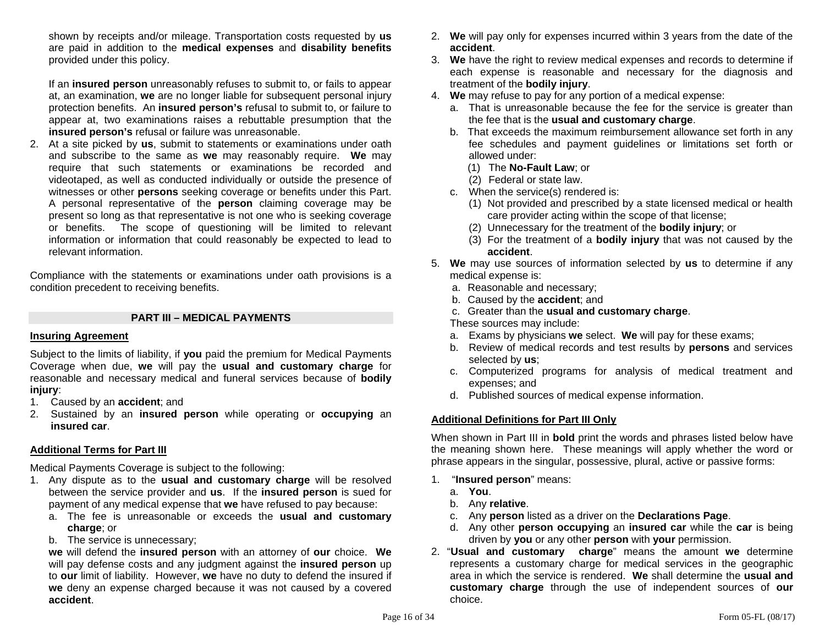shown by receipts and/or mileage. Transportation costs requested by **us** are paid in addition to the **medical expenses** and **disability benefits** provided under this policy.

If an **insured person** unreasonably refuses to submit to, or fails to appear at, an examination, **we** are no longer liable for subsequent personal injury protection benefits. An **insured person's** refusal to submit to, or failure to appear at, two examinations raises a rebuttable presumption that the **insured person's** refusal or failure was unreasonable.

2. At a site picked by **us**, submit to statements or examinations under oath and subscribe to the same as **we** may reasonably require. **We** may require that such statements or examinations be recorded and videotaped, as well as conducted individually or outside the presence of witnesses or other **persons** seeking coverage or benefits under this Part. A personal representative of the **person** claiming coverage may be present so long as that representative is not one who is seeking coverage or benefits. The scope of questioning will be limited to relevant information or information that could reasonably be expected to lead to relevant information.

Compliance with the statements or examinations under oath provisions is a condition precedent to receiving benefits.

#### **PART III – MEDICAL PAYMENTS**

#### **Insuring Agreement**

Subject to the limits of liability, if **you** paid the premium for Medical Payments Coverage when due, **we** will pay the **usual and customary charge** for reasonable and necessary medical and funeral services because of **bodily injury**:

- 1. Caused by an **accident**; and
- 2. Sustained by an **insured person** while operating or **occupying** an **insured car**.

### **Additional Terms for Part III**

Medical Payments Coverage is subject to the following:

- 1. Any dispute as to the **usual and customary charge** will be resolved between the service provider and **us**. If the **insured person** is sued for payment of any medical expense that **we** have refused to pay because:
	- a. The fee is unreasonable or exceeds the **usual and customary charge**; or
	- b. The service is unnecessary;

**we** will defend the **insured person** with an attorney of **our** choice. **We** will pay defense costs and any judgment against the **insured person** up to **our** limit of liability. However, **we** have no duty to defend the insured if **we** deny an expense charged because it was not caused by a covered **accident**.

- 2. **We** will pay only for expenses incurred within 3 years from the date of the **accident**.
- 3. **We** have the right to review medical expenses and records to determine if each expense is reasonable and necessary for the diagnosis and treatment of the **bodily injury**.
- 4. **We** may refuse to pay for any portion of a medical expense:
	- a. That is unreasonable because the fee for the service is greater than the fee that is the **usual and customary charge**.
	- b. That exceeds the maximum reimbursement allowance set forth in any fee schedules and payment guidelines or limitations set forth or allowed under:
		- (1) The **No-Fault Law**; or
		- (2) Federal or state law.
	- c. When the service(s) rendered is:
		- (1) Not provided and prescribed by a state licensed medical or health care provider acting within the scope of that license;
		- (2) Unnecessary for the treatment of the **bodily injury**; or
		- (3) For the treatment of a **bodily injury** that was not caused by the **accident**.
- 5. **We** may use sources of information selected by **us** to determine if any medical expense is:
	- a. Reasonable and necessary;
	- b. Caused by the **accident**; and
	- c. Greater than the **usual and customary charge**.

These sources may include:

- a. Exams by physicians **we** select. **We** will pay for these exams;
- b. Review of medical records and test results by **persons** and services selected by **us**;
- c. Computerized programs for analysis of medical treatment and expenses; and
- d. Published sources of medical expense information.

### **Additional Definitions for Part III Only**

When shown in Part III in **bold** print the words and phrases listed below have the meaning shown here. These meanings will apply whether the word or phrase appears in the singular, possessive, plural, active or passive forms:

- 1. "**Insured person**" means:
	- a. **You**.
	- b. Any **relative**.
	- c. Any **person** listed as a driver on the **Declarations Page**.
	- d. Any other **person occupying** an **insured car** while the **car** is being driven by **you** or any other **person** with **your** permission.
- 2. "**Usual and customary charge**" means the amount **we** determine represents a customary charge for medical services in the geographic area in which the service is rendered. **We** shall determine the **usual and customary charge** through the use of independent sources of **our** choice.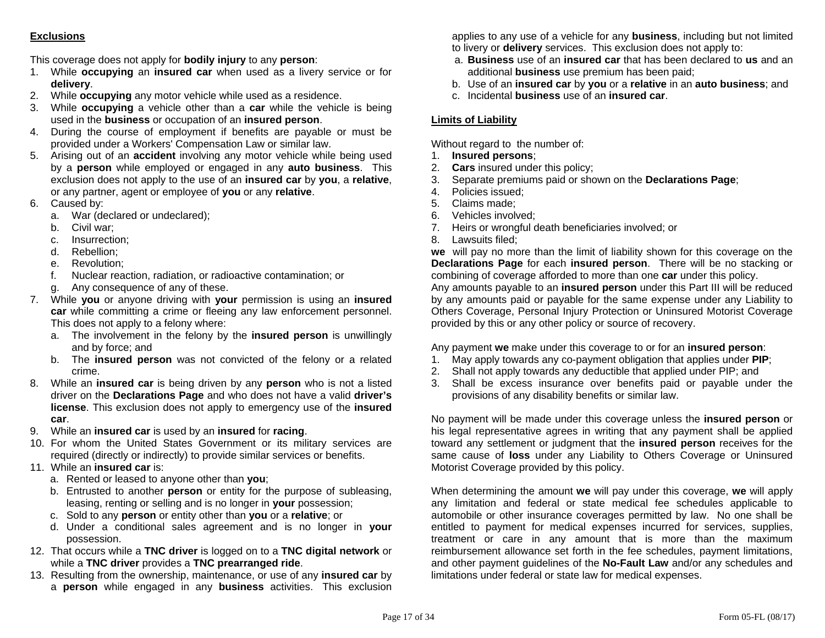# **Exclusions**

This coverage does not apply for **bodily injury** to any **person**:

- 1. While **occupying** an **insured car** when used as a livery service or for **delivery**.
- 2. While **occupying** any motor vehicle while used as a residence.
- 3. While **occupying** a vehicle other than a **car** while the vehicle is being used in the **business** or occupation of an **insured person**.
- 4. During the course of employment if benefits are payable or must be provided under a Workers' Compensation Law or similar law.
- 5. Arising out of an **accident** involving any motor vehicle while being used by a **person** while employed or engaged in any **auto business**. This exclusion does not apply to the use of an **insured car** by **you**, a **relative**, or any partner, agent or employee of **you** or any **relative**.
- 6. Caused by:
	- a. War (declared or undeclared);
	- b. Civil war;
	- c. Insurrection;
	- d. Rebellion;
	- e. Revolution;
	- f. Nuclear reaction, radiation, or radioactive contamination; or
	- g. Any consequence of any of these.
- 7. While **you** or anyone driving with **your** permission is using an **insured car** while committing a crime or fleeing any law enforcement personnel. This does not apply to a felony where:
	- a. The involvement in the felony by the **insured person** is unwillingly and by force; and
	- b. The **insured person** was not convicted of the felony or a related crime.
- 8. While an **insured car** is being driven by any **person** who is not a listed driver on the **Declarations Page** and who does not have a valid **driver's license**. This exclusion does not apply to emergency use of the **insured car**.
- 9. While an **insured car** is used by an **insured** for **racing**.
- 10. For whom the United States Government or its military services are required (directly or indirectly) to provide similar services or benefits.
- 11. While an **insured car** is:
	- a. Rented or leased to anyone other than **you**;
	- b. Entrusted to another **person** or entity for the purpose of subleasing, leasing, renting or selling and is no longer in **your** possession;
	- c. Sold to any **person** or entity other than **you** or a **relative**; or
	- d. Under a conditional sales agreement and is no longer in **your**  possession.
- 12. That occurs while a **TNC driver** is logged on to a **TNC digital network** or while a **TNC driver** provides a **TNC prearranged ride**.
- 13. Resulting from the ownership, maintenance, or use of any **insured car** by <sup>a</sup>**person** while engaged in any **business** activities. This exclusion

applies to any use of a vehicle for any **business**, including but not limited to livery or **delivery** services. This exclusion does not apply to:

- a. **Business** use of an **insured car** that has been declared to **us** and an additional **business** use premium has been paid;
- b. Use of an **insured car** by **you** or a **relative** in an **auto business**; and
- c. Incidental **business** use of an **insured car**.

# **Limits of Liability**

Without regard to the number of:

- 1. **Insured persons**;
- 2. **Cars** insured under this policy;
- 3. Separate premiums paid or shown on the **Declarations Page**;
- 4. Policies issued;
- 5. Claims made;
- 6. Vehicles involved;
- 7. Heirs or wrongful death beneficiaries involved; or
- 8. Lawsuits filed;

**we** will pay no more than the limit of liability shown for this coverage on the **Declarations Page** for each **insured person**. There will be no stacking or combining of coverage afforded to more than one **car** under this policy. Any amounts payable to an **insured person** under this Part III will be reduced by any amounts paid or payable for the same expense under any Liability to Others Coverage, Personal Injury Protection or Uninsured Motorist Coverage provided by this or any other policy or source of recovery.

Any payment **we** make under this coverage to or for an **insured person**:

- 1. May apply towards any co-payment obligation that applies under **PIP**;
- 2. Shall not apply towards any deductible that applied under PIP; and
- 3. Shall be excess insurance over benefits paid or payable under the provisions of any disability benefits or similar law.

No payment will be made under this coverage unless the **insured person** or his legal representative agrees in writing that any payment shall be applied toward any settlement or judgment that the **insured person** receives for the same cause of **loss** under any Liability to Others Coverage or Uninsured Motorist Coverage provided by this policy.

When determining the amount **we** will pay under this coverage, **we** will apply any limitation and federal or state medical fee schedules applicable to automobile or other insurance coverages permitted by law. No one shall be entitled to payment for medical expenses incurred for services, supplies, treatment or care in any amount that is more than the maximum reimbursement allowance set forth in the fee schedules, payment limitations, and other payment guidelines of the **No-Fault Law** and/or any schedules and limitations under federal or state law for medical expenses.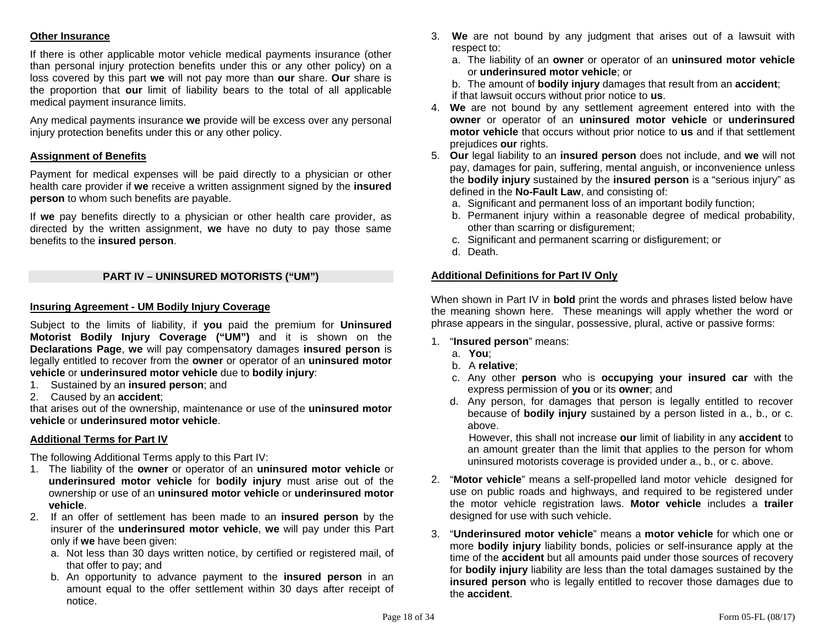### **Other Insurance**

If there is other applicable motor vehicle medical payments insurance (other than personal injury protection benefits under this or any other policy) on a loss covered by this part **we** will not pay more than **our** share. **Our** share is the proportion that **our** limit of liability bears to the total of all applicable medical payment insurance limits.

Any medical payments insurance **we** provide will be excess over any personal injury protection benefits under this or any other policy.

### **Assignment of Benefits**

Payment for medical expenses will be paid directly to a physician or other health care provider if **we** receive a written assignment signed by the **insured person** to whom such benefits are payable.

If **we** pay benefits directly to a physician or other health care provider, as directed by the written assignment, **we** have no duty to pay those same benefits to the **insured person**.

### **PART IV – UNINSURED MOTORISTS ("UM")**

#### **Insuring Agreement - UM Bodily Injury Coverage**

Subject to the limits of liability, if **you** paid the premium for **Uninsured Motorist Bodily Injury Coverage ("UM")** and it is shown on the **Declarations Page**, **we** will pay compensatory damages **insured person** is legally entitled to recover from the **owner** or operator of an **uninsured motor vehicle** or **underinsured motor vehicle** due to **bodily injury**:

- 1. Sustained by an **insured person**; and
- 2. Caused by an **accident**;

that arises out of the ownership, maintenance or use of the **uninsured motor vehicle** or **underinsured motor vehicle**.

#### **Additional Terms for Part IV**

The following Additional Terms apply to this Part IV:

- 1. The liability of the **owner** or operator of an **uninsured motor vehicle** or **underinsured motor vehicle** for **bodily injury** must arise out of the ownership or use of an **uninsured motor vehicle** or **underinsured motor vehicle**.
- 2. If an offer of settlement has been made to an **insured person** by the insurer of the **underinsured motor vehicle**, **we** will pay under this Part only if **we** have been given:
	- a. Not less than 30 days written notice, by certified or registered mail, of that offer to pay; and
	- b. An opportunity to advance payment to the **insured person** in an amount equal to the offer settlement within 30 days after receipt of notice.
- 3. **We** are not bound by any judgment that arises out of a lawsuit with respect to:
	- a. The liability of an **owner** or operator of an **uninsured motor vehicle** or **underinsured motor vehicle**; or

 b. The amount of **bodily injury** damages that result from an **accident**; if that lawsuit occurs without prior notice to **us**.

- 4. **We** are not bound by any settlement agreement entered into with the **owner** or operator of an **uninsured motor vehicle** or **underinsured motor vehicle** that occurs without prior notice to **us** and if that settlement prejudices **our** rights.
- 5. **Our** legal liability to an **insured person** does not include, and **we** will not pay, damages for pain, suffering, mental anguish, or inconvenience unless the **bodily injury** sustained by the **insured person** is a "serious injury" as defined in the **No-Fault Law**, and consisting of:
	- a. Significant and permanent loss of an important bodily function;
	- b. Permanent injury within a reasonable degree of medical probability, other than scarring or disfigurement;
	- c. Significant and permanent scarring or disfigurement; or
	- d. Death.

### **Additional Definitions for Part IV Only**

When shown in Part IV in **bold** print the words and phrases listed below have the meaning shown here. These meanings will apply whether the word or phrase appears in the singular, possessive, plural, active or passive forms:

- 1. "**Insured person**" means:
	- a. **You**;
	- b. A **relative**;
	- c. Any other **person** who is **occupying your insured car** with the express permission of **you** or its **owner**; and
	- d. Any person, for damages that person is legally entitled to recover because of **bodily injury** sustained by a person listed in a., b., or c. above.

However, this shall not increase **our** limit of liability in any **accident** to an amount greater than the limit that applies to the person for whom uninsured motorists coverage is provided under a., b., or c. above.

- 2. "**Motor vehicle**" means a self-propelled land motor vehicle designed for use on public roads and highways, and required to be registered under the motor vehicle registration laws. **Motor vehicle** includes a **trailer** designed for use with such vehicle.
- 3. "**Underinsured motor vehicle**" means a **motor vehicle** for which one or more **bodily injury** liability bonds, policies or self-insurance apply at the time of the **accident** but all amounts paid under those sources of recovery for **bodily injury** liability are less than the total damages sustained by the **insured person** who is legally entitled to recover those damages due to the **accident**.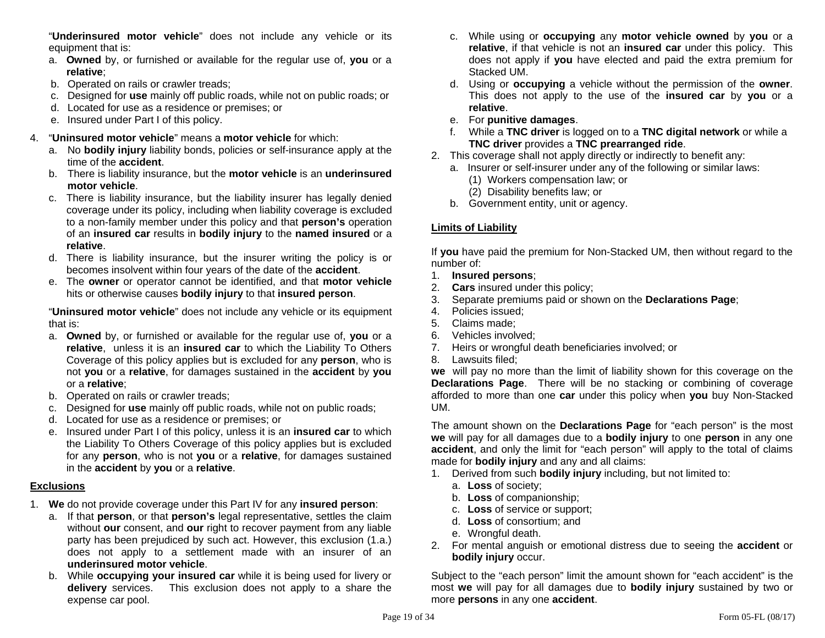"**Underinsured motor vehicle**" does not include any vehicle or its equipment that is:

- a. **Owned** by, or furnished or available for the regular use of, **you** or a **relative**;
- b. Operated on rails or crawler treads;
- c. Designed for **use** mainly off public roads, while not on public roads; or
- d. Located for use as a residence or premises; or
- e. Insured under Part I of this policy.

# 4. "**Uninsured motor vehicle**" means a **motor vehicle** for which:

- a. No **bodily injury** liability bonds, policies or self-insurance apply at the time of the **accident**.
- b. There is liability insurance, but the **motor vehicle** is an **underinsured motor vehicle**.
- c. There is liability insurance, but the liability insurer has legally denied coverage under its policy, including when liability coverage is excluded to a non-family member under this policy and that **person's** operation of an **insured car** results in **bodily injury** to the **named insured** or a **relative**.
- d. There is liability insurance, but the insurer writing the policy is or becomes insolvent within four years of the date of the **accident**.
- e. The **owner** or operator cannot be identified, and that **motor vehicle** hits or otherwise causes **bodily injury** to that **insured person**.

 "**Uninsured motor vehicle**" does not include any vehicle or its equipment that is:

- a. **Owned** by, or furnished or available for the regular use of, **you** or a **relative**, unless it is an **insured car** to which the Liability To Others Coverage of this policy applies but is excluded for any **person**, who is not **you** or a **relative**, for damages sustained in the **accident** by **you** or a **relative**;
- b. Operated on rails or crawler treads;
- c. Designed for **use** mainly off public roads, while not on public roads;
- d. Located for use as a residence or premises; or
- e. Insured under Part I of this policy, unless it is an **insured car** to which the Liability To Others Coverage of this policy applies but is excluded for any **person**, who is not **you** or a **relative**, for damages sustained in the **accident** by **you** or a **relative**.

# **Exclusions**

- 1. **We** do not provide coverage under this Part IV for any **insured person**:
	- a. If that **person**, or that **person's** legal representative, settles the claim without **our** consent, and **our** right to recover payment from any liable party has been prejudiced by such act. However, this exclusion (1.a.) does not apply to a settlement made with an insurer of an **underinsured motor vehicle**.
	- b. While **occupying your insured car** while it is being used for livery or **delivery** services. This exclusion does not apply to a share the expense car pool.
- c. While using or **occupying** any **motor vehicle owned** by **you** or a **relative**, if that vehicle is not an **insured car** under this policy. This does not apply if **you** have elected and paid the extra premium for Stacked UM.
- d. Using or **occupying** a vehicle without the permission of the **owner**. This does not apply to the use of the **insured car** by **you** or a **relative**.
- e. For **punitive damages**.
- f. While a **TNC driver** is logged on to a **TNC digital network** or while a **TNC driver** provides a **TNC prearranged ride**.
- 2. This coverage shall not apply directly or indirectly to benefit any:
	- a. Insurer or self-insurer under any of the following or similar laws:
		- (1) Workers compensation law; or
		- (2) Disability benefits law; or
	- b. Government entity, unit or agency.

# **Limits of Liability**

If **you** have paid the premium for Non-Stacked UM, then without regard to the number of:

- 1. **Insured persons**;
- 2. **Cars** insured under this policy;
- 3. Separate premiums paid or shown on the **Declarations Page**;
- 4. Policies issued;
- 5. Claims made;
- 6. Vehicles involved;
- 7. Heirs or wrongful death beneficiaries involved; or
- 8. Lawsuits filed;

**we** will pay no more than the limit of liability shown for this coverage on the **Declarations Page**. There will be no stacking or combining of coverage afforded to more than one **car** under this policy when **you** buy Non-Stacked UM.

The amount shown on the **Declarations Page** for "each person" is the most **we** will pay for all damages due to a **bodily injury** to one **person** in any one **accident**, and only the limit for "each person" will apply to the total of claims made for **bodily injury** and any and all claims:

- 1. Derived from such **bodily injury** including, but not limited to:
	- a. **Loss** of society;
	- b. **Loss** of companionship;
	- c. **Loss** of service or support;
	- d. **Loss** of consortium; and
	- e. Wrongful death.
- 2. For mental anguish or emotional distress due to seeing the **accident** or **bodily injury** occur.

Subject to the "each person" limit the amount shown for "each accident" is the most **we** will pay for all damages due to **bodily injury** sustained by two or more **persons** in any one **accident**.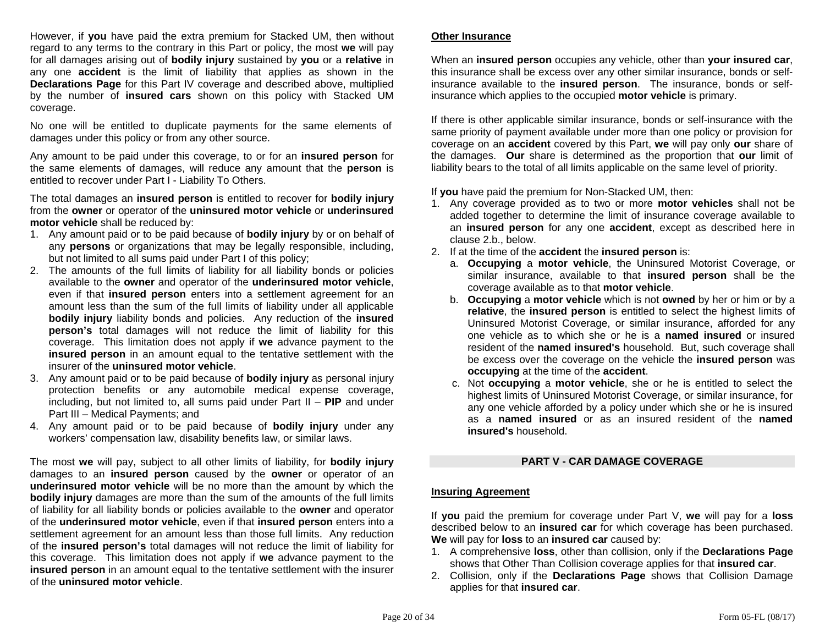However, if **you** have paid the extra premium for Stacked UM, then without regard to any terms to the contrary in this Part or policy, the most **we** will pay for all damages arising out of **bodily injury** sustained by **you** or a **relative** in any one **accident** is the limit of liability that applies as shown in the **Declarations Page** for this Part IV coverage and described above, multiplied by the number of **insured cars** shown on this policy with Stacked UM coverage.

No one will be entitled to duplicate payments for the same elements of damages under this policy or from any other source.

Any amount to be paid under this coverage, to or for an **insured person** for the same elements of damages, will reduce any amount that the **person** is entitled to recover under Part I - Liability To Others.

The total damages an **insured person** is entitled to recover for **bodily injury** from the **owner** or operator of the **uninsured motor vehicle** or **underinsured motor vehicle** shall be reduced by:

- 1. Any amount paid or to be paid because of **bodily injury** by or on behalf of any **persons** or organizations that may be legally responsible, including, but not limited to all sums paid under Part I of this policy;
- 2. The amounts of the full limits of liability for all liability bonds or policies available to the **owner** and operator of the **underinsured motor vehicle**, even if that **insured person** enters into a settlement agreement for an amount less than the sum of the full limits of liability under all applicable **bodily injury** liability bonds and policies. Any reduction of the **insured person's** total damages will not reduce the limit of liability for this coverage. This limitation does not apply if **we** advance payment to the **insured person** in an amount equal to the tentative settlement with the insurer of the **uninsured motor vehicle**.
- 3. Any amount paid or to be paid because of **bodily injury** as personal injury protection benefits or any automobile medical expense coverage, including, but not limited to, all sums paid under Part II – **PIP** and under Part III – Medical Payments; and
- 4. Any amount paid or to be paid because of **bodily injury** under any workers' compensation law, disability benefits law, or similar laws.

The most **we** will pay, subject to all other limits of liability, for **bodily injury** damages to an **insured person** caused by the **owner** or operator of an **underinsured motor vehicle** will be no more than the amount by which the **bodily injury** damages are more than the sum of the amounts of the full limits of liability for all liability bonds or policies available to the **owner** and operator of the **underinsured motor vehicle**, even if that **insured person** enters into a settlement agreement for an amount less than those full limits. Any reduction of the **insured person's** total damages will not reduce the limit of liability for this coverage. This limitation does not apply if **we** advance payment to the **insured person** in an amount equal to the tentative settlement with the insurer of the **uninsured motor vehicle**.

### **Other Insurance**

When an **insured person** occupies any vehicle, other than **your insured car**, this insurance shall be excess over any other similar insurance, bonds or selfinsurance available to the **insured person**. The insurance, bonds or selfinsurance which applies to the occupied **motor vehicle** is primary.

If there is other applicable similar insurance, bonds or self-insurance with the same priority of payment available under more than one policy or provision for coverage on an **accident** covered by this Part, **we** will pay only **our** share of the damages. **Our** share is determined as the proportion that **our** limit of liability bears to the total of all limits applicable on the same level of priority.

If **you** have paid the premium for Non-Stacked UM, then:

- 1. Any coverage provided as to two or more **motor vehicles** shall not be added together to determine the limit of insurance coverage available to an **insured person** for any one **accident**, except as described here in clause 2.b., below.
- 2. If at the time of the **accident** the **insured person** is:
	- a. **Occupying** a **motor vehicle**, the Uninsured Motorist Coverage, or similar insurance, available to that **insured person** shall be the coverage available as to that **motor vehicle**.
	- b. **Occupying** a **motor vehicle** which is not **owned** by her or him or by a **relative**, the **insured person** is entitled to select the highest limits of Uninsured Motorist Coverage, or similar insurance, afforded for any one vehicle as to which she or he is a **named insured** or insured resident of the **named insured's** household. But, such coverage shall be excess over the coverage on the vehicle the **insured person** was **occupying** at the time of the **accident**.
	- c. Not **occupying** a **motor vehicle**, she or he is entitled to select the highest limits of Uninsured Motorist Coverage, or similar insurance, for any one vehicle afforded by a policy under which she or he is insured as a **named insured** or as an insured resident of the **named insured's** household.

### **PART V - CAR DAMAGE COVERAGE**

### **Insuring Agreement**

If **you** paid the premium for coverage under Part V, **we** will pay for a **loss** described below to an **insured car** for which coverage has been purchased. **We** will pay for **loss** to an **insured car** caused by:

- 1. A comprehensive **loss**, other than collision, only if the **Declarations Page** shows that Other Than Collision coverage applies for that **insured car**.
- 2. Collision, only if the **Declarations Page** shows that Collision Damage applies for that **insured car**.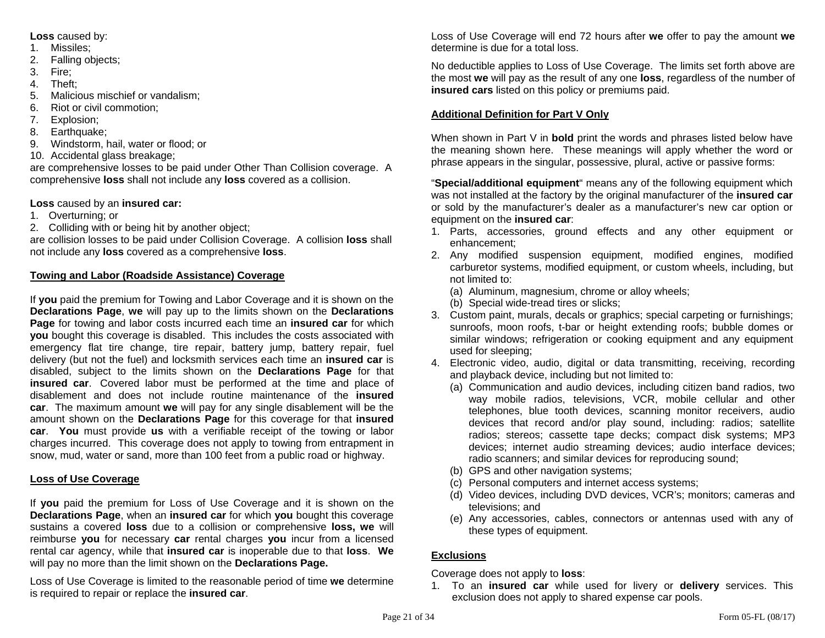**Loss** caused by:

- 1. Missiles;
- 2. Falling objects;
- 3. Fire;
- 4. Theft;
- 5. Malicious mischief or vandalism;
- 6. Riot or civil commotion;
- 7. Explosion;
- 8. Earthquake;
- 9. Windstorm, hail, water or flood; or
- 10. Accidental glass breakage;

are comprehensive losses to be paid under Other Than Collision coverage. A comprehensive **loss** shall not include any **loss** covered as a collision.

# **Loss** caused by an **insured car:**

- 1. Overturning; or
- 2. Colliding with or being hit by another object;

are collision losses to be paid under Collision Coverage. A collision **loss** shall not include any **loss** covered as a comprehensive **loss**.

# **Towing and Labor (Roadside Assistance) Coverage**

If **you** paid the premium for Towing and Labor Coverage and it is shown on the **Declarations Page**, **we** will pay up to the limits shown on the **Declarations Page** for towing and labor costs incurred each time an **insured car** for which **you** bought this coverage is disabled. This includes the costs associated with emergency flat tire change, tire repair, battery jump, battery repair, fuel delivery (but not the fuel) and locksmith services each time an **insured car** is disabled, subject to the limits shown on the **Declarations Page** for that **insured car**. Covered labor must be performed at the time and place of disablement and does not include routine maintenance of the **insured car**. The maximum amount **we** will pay for any single disablement will be the amount shown on the **Declarations Page** for this coverage for that **insured car**. **You** must provide **us** with a verifiable receipt of the towing or labor charges incurred. This coverage does not apply to towing from entrapment in snow, mud, water or sand, more than 100 feet from a public road or highway.

# **Loss of Use Coverage**

If **you** paid the premium for Loss of Use Coverage and it is shown on the **Declarations Page**, when an **insured car** for which **you** bought this coverage sustains a covered **loss** due to a collision or comprehensive **loss, we** will reimburse **you** for necessary **car** rental charges **you** incur from a licensed rental car agency, while that **insured car** is inoperable due to that **loss**. **We**  will pay no more than the limit shown on the **Declarations Page.**

Loss of Use Coverage is limited to the reasonable period of time **we** determine is required to repair or replace the **insured car**.

Loss of Use Coverage will end 72 hours after **we** offer to pay the amount **we** determine is due for a total loss.

No deductible applies to Loss of Use Coverage. The limits set forth above are the most **we** will pay as the result of any one **loss**, regardless of the number of **insured cars** listed on this policy or premiums paid.

# **Additional Definition for Part V Only**

When shown in Part V in **bold** print the words and phrases listed below have the meaning shown here. These meanings will apply whether the word or phrase appears in the singular, possessive, plural, active or passive forms:

"**Special/additional equipment**" means any of the following equipment which was not installed at the factory by the original manufacturer of the **insured car**  or sold by the manufacturer's dealer as a manufacturer's new car option or equipment on the **insured car**:

- 1. Parts, accessories, ground effects and any other equipment or enhancement;
- 2. Any modified suspension equipment, modified engines, modified carburetor systems, modified equipment, or custom wheels, including, but not limited to:
	- (a) Aluminum, magnesium, chrome or alloy wheels;
	- (b) Special wide-tread tires or slicks;
- 3. Custom paint, murals, decals or graphics; special carpeting or furnishings; sunroofs, moon roofs, t-bar or height extending roofs; bubble domes or similar windows; refrigeration or cooking equipment and any equipment used for sleeping;
- 4. Electronic video, audio, digital or data transmitting, receiving, recording and playback device, including but not limited to:
	- (a) Communication and audio devices, including citizen band radios, two way mobile radios, televisions, VCR, mobile cellular and other telephones, blue tooth devices, scanning monitor receivers, audio devices that record and/or play sound, including: radios; satellite radios; stereos; cassette tape decks; compact disk systems; MP3 devices; internet audio streaming devices; audio interface devices; radio scanners; and similar devices for reproducing sound;
	- (b) GPS and other navigation systems;
	- (c) Personal computers and internet access systems;
	- (d) Video devices, including DVD devices, VCR's; monitors; cameras and televisions; and
	- (e) Any accessories, cables, connectors or antennas used with any of these types of equipment.

# **Exclusions**

Coverage does not apply to **loss**:

1. To an **insured car** while used for livery or **delivery** services. This exclusion does not apply to shared expense car pools.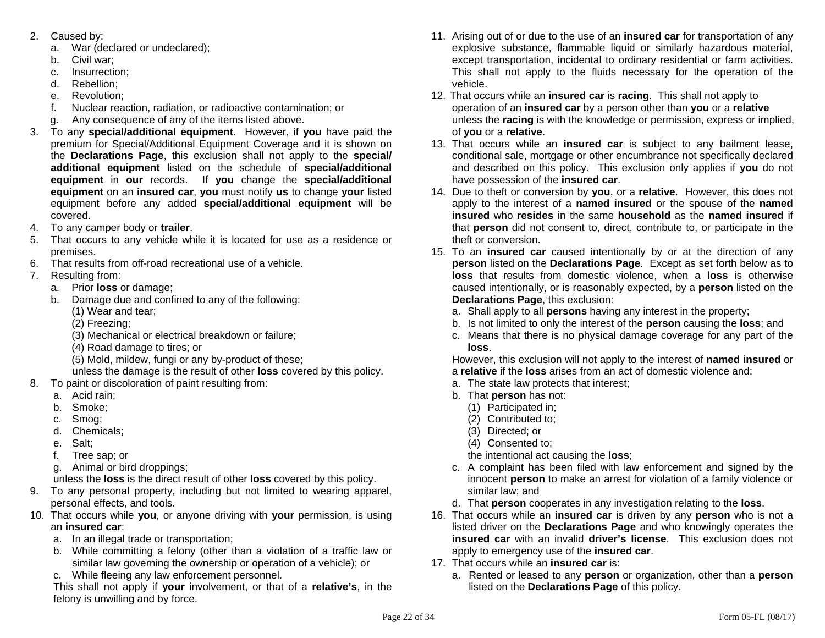- 2. Caused by:
	- a. War (declared or undeclared);
	- b. Civil war;
	- c. Insurrection;
	- d. Rebellion;
	- e. Revolution;
	- f. Nuclear reaction, radiation, or radioactive contamination; or
	- Any consequence of any of the items listed above.
- 3. To any **special/additional equipment**. However, if **you** have paid the premium for Special/Additional Equipment Coverage and it is shown on the **Declarations Page**, this exclusion shall not apply to the **special/ additional equipment** listed on the schedule of **special/additional equipment** in **our** records. If **you** change the **special/additional equipment** on an **insured car**, **you** must notify **us** to change **your** listed equipment before any added **special/additional equipment** will be covered.
- 4. To any camper body or **trailer**.
- 5. That occurs to any vehicle while it is located for use as a residence or premises.
- 6. That results from off-road recreational use of a vehicle.
- 7. Resulting from:
	- a. Prior **loss** or damage;
	- b. Damage due and confined to any of the following: (1) Wear and tear;
		- (2) Freezing;
		- (3) Mechanical or electrical breakdown or failure;
		- (4) Road damage to tires; or
		- (5) Mold, mildew, fungi or any by-product of these;
	- unless the damage is the result of other **loss** covered by this policy.
- 8. To paint or discoloration of paint resulting from:
	- a. Acid rain;
	- b. Smoke;
	- c. Smog;
	- d. Chemicals;
	- e. Salt;
	- f. Tree sap; or
	- g. Animal or bird droppings;
	- unless the **loss** is the direct result of other **loss** covered by this policy.
- 9. To any personal property, including but not limited to wearing apparel, personal effects, and tools.
- 10. That occurs while **you**, or anyone driving with **your** permission, is using an **insured car**:
	- a. In an illegal trade or transportation;
	- b. While committing a felony (other than a violation of a traffic law or similar law governing the ownership or operation of a vehicle); or
	- c. While fleeing any law enforcement personnel.
	- This shall not apply if **your** involvement, or that of a **relative's**, in the felony is unwilling and by force.
- 11. Arising out of or due to the use of an **insured car** for transportation of any explosive substance, flammable liquid or similarly hazardous material, except transportation, incidental to ordinary residential or farm activities. This shall not apply to the fluids necessary for the operation of the vehicle.
- 12. That occurs while an **insured car** is **racing**. This shall not apply to operation of an **insured car** by a person other than **you** or a **relative**  unless the **racing** is with the knowledge or permission, express or implied, of **you** or a **relative**.
- 13. That occurs while an **insured car** is subject to any bailment lease, conditional sale, mortgage or other encumbrance not specifically declared and described on this policy. This exclusion only applies if **you** do not have possession of the **insured car**.
- 14. Due to theft or conversion by **you**, or a **relative**. However, this does not apply to the interest of a **named insured** or the spouse of the **named insured** who **resides** in the same **household** as the **named insured** if that **person** did not consent to, direct, contribute to, or participate in the theft or conversion.
- 15. To an **insured car** caused intentionally by or at the direction of any **person** listed on the **Declarations Page**. Except as set forth below as to **loss** that results from domestic violence, when a **loss** is otherwise caused intentionally, or is reasonably expected, by a **person** listed on the **Declarations Page**, this exclusion:
	- a. Shall apply to all **persons** having any interest in the property;
	- b. Is not limited to only the interest of the **person** causing the **loss**; and
	- c. Means that there is no physical damage coverage for any part of the **loss**.

 However, this exclusion will not apply to the interest of **named insured** or a **relative** if the **loss** arises from an act of domestic violence and:

- a. The state law protects that interest;
- b. That **person** has not:
	- (1) Participated in;
	- (2) Contributed to;
	- (3) Directed; or
	- (4) Consented to;
	- the intentional act causing the **loss**;
- c. A complaint has been filed with law enforcement and signed by the innocent **person** to make an arrest for violation of a family violence or similar law; and
- d. That **person** cooperates in any investigation relating to the **loss**.
- 16. That occurs while an **insured car** is driven by any **person** who is not a listed driver on the **Declarations Page** and who knowingly operates the **insured car** with an invalid **driver's license**. This exclusion does not apply to emergency use of the **insured car**.
- 17. That occurs while an **insured car** is:
	- a. Rented or leased to any **person** or organization, other than a **person** listed on the **Declarations Page** of this policy.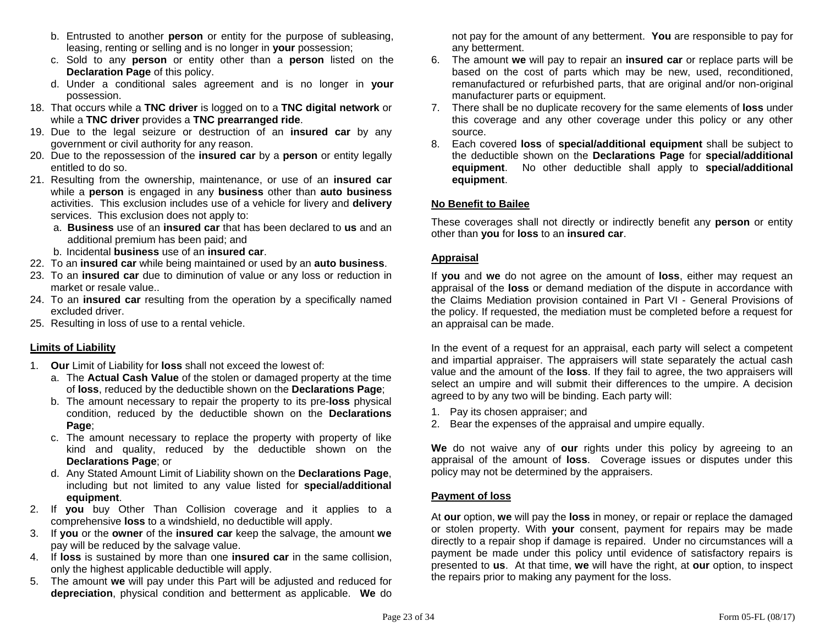- b. Entrusted to another **person** or entity for the purpose of subleasing, leasing, renting or selling and is no longer in **your** possession;
- c. Sold to any **person** or entity other than a **person** listed on the **Declaration Page** of this policy.
- d. Under a conditional sales agreement and is no longer in **your** possession.
- 18. That occurs while a **TNC driver** is logged on to a **TNC digital network** or while a **TNC driver** provides a **TNC prearranged ride**.
- 19. Due to the legal seizure or destruction of an **insured car** by any government or civil authority for any reason.
- 20. Due to the repossession of the **insured car** by a **person** or entity legally entitled to do so.
- 21. Resulting from the ownership, maintenance, or use of an **insured car** while a **person** is engaged in any **business** other than **auto business** activities. This exclusion includes use of a vehicle for livery and **delivery** services. This exclusion does not apply to:
	- a. **Business** use of an **insured car** that has been declared to **us** and an additional premium has been paid; and
	- b. Incidental **business** use of an **insured car**.
- 22. To an **insured car** while being maintained or used by an **auto business**.
- 23. To an **insured car** due to diminution of value or any loss or reduction in market or resale value..
- 24. To an **insured car** resulting from the operation by a specifically named excluded driver.
- 25. Resulting in loss of use to a rental vehicle.

### **Limits of Liability**

- 1. **Our** Limit of Liability for **loss** shall not exceed the lowest of:
	- a. The **Actual Cash Value** of the stolen or damaged property at the time of **loss**, reduced by the deductible shown on the **Declarations Page**;
	- b. The amount necessary to repair the property to its pre-**loss** physical condition, reduced by the deductible shown on the **Declarations Page**;
	- c. The amount necessary to replace the property with property of like kind and quality, reduced by the deductible shown on the **Declarations Page**; or
	- d. Any Stated Amount Limit of Liability shown on the **Declarations Page**, including but not limited to any value listed for **special/additional equipment**.
- 2. If **you** buy Other Than Collision coverage and it applies to a comprehensive **loss** to a windshield, no deductible will apply.
- 3. If **you** or the **owner** of the **insured car** keep the salvage, the amount **we** pay will be reduced by the salvage value.
- 4. If **loss** is sustained by more than one **insured car** in the same collision, only the highest applicable deductible will apply.
- 5. The amount **we** will pay under this Part will be adjusted and reduced for **depreciation**, physical condition and betterment as applicable. **We** do

not pay for the amount of any betterment. **You** are responsible to pay for any betterment.

- 6. The amount **we** will pay to repair an **insured car** or replace parts will be based on the cost of parts which may be new, used, reconditioned, remanufactured or refurbished parts, that are original and/or non-original manufacturer parts or equipment.
- 7. There shall be no duplicate recovery for the same elements of **loss** under this coverage and any other coverage under this policy or any other source.
- 8. Each covered **loss** of **special/additional equipment** shall be subject to the deductible shown on the **Declarations Page** for **special/additional equipment**. No other deductible shall apply to **special/additional equipment**.

# **No Benefit to Bailee**

These coverages shall not directly or indirectly benefit any **person** or entity other than **you** for **loss** to an **insured car**.

### **Appraisal**

If **you** and **we** do not agree on the amount of **loss**, either may request an appraisal of the **loss** or demand mediation of the dispute in accordance with the Claims Mediation provision contained in Part VI - General Provisions of the policy. If requested, the mediation must be completed before a request for an appraisal can be made.

In the event of a request for an appraisal, each party will select a competent and impartial appraiser. The appraisers will state separately the actual cash value and the amount of the **loss**. If they fail to agree, the two appraisers will select an umpire and will submit their differences to the umpire. A decision agreed to by any two will be binding. Each party will:

- 1. Pay its chosen appraiser; and
- 2. Bear the expenses of the appraisal and umpire equally.

**We** do not waive any of **our** rights under this policy by agreeing to an appraisal of the amount of **loss**. Coverage issues or disputes under this policy may not be determined by the appraisers.

### **Payment of loss**

At **our** option, **we** will pay the **loss** in money, or repair or replace the damaged or stolen property. With **your** consent, payment for repairs may be made directly to a repair shop if damage is repaired. Under no circumstances will a payment be made under this policy until evidence of satisfactory repairs is presented to **us**. At that time, **we** will have the right, at **our** option, to inspect the repairs prior to making any payment for the loss.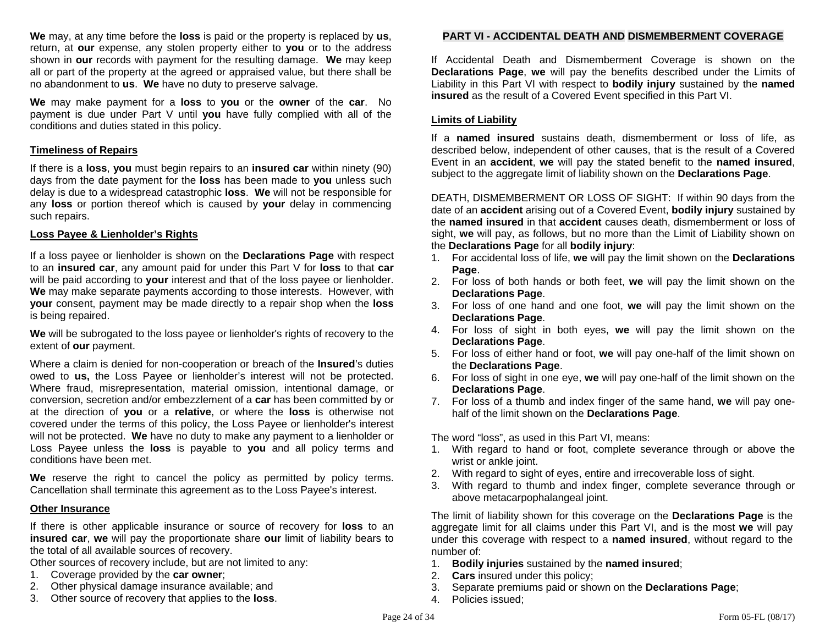**We** may, at any time before the **loss** is paid or the property is replaced by **us**, return, at **our** expense, any stolen property either to **you** or to the address shown in **our** records with payment for the resulting damage. **We** may keep all or part of the property at the agreed or appraised value, but there shall be no abandonment to **us**. **We** have no duty to preserve salvage.

**We** may make payment for a **loss** to **you** or the **owner** of the **car**. No payment is due under Part V until **you** have fully complied with all of the conditions and duties stated in this policy.

#### **Timeliness of Repairs**

If there is a **loss**, **you** must begin repairs to an **insured car** within ninety (90) days from the date payment for the **loss** has been made to **you** unless such delay is due to a widespread catastrophic **loss**. **We** will not be responsible for any **loss** or portion thereof which is caused by **your** delay in commencing such repairs.

#### **Loss Payee & Lienholder's Rights**

If a loss payee or lienholder is shown on the **Declarations Page** with respect to an **insured car**, any amount paid for under this Part V for **loss** to that **car**  will be paid according to **your** interest and that of the loss payee or lienholder. **We** may make separate payments according to those interests. However, with **your** consent, payment may be made directly to a repair shop when the **loss** is being repaired.

**We** will be subrogated to the loss payee or lienholder's rights of recovery to the extent of **our** payment.

Where a claim is denied for non-cooperation or breach of the **Insured**'s duties owed to **us,** the Loss Payee or lienholder's interest will not be protected. Where fraud, misrepresentation, material omission, intentional damage, or conversion, secretion and/or embezzlement of a **car** has been committed by or at the direction of **you** or a **relative**, or where the **loss** is otherwise not covered under the terms of this policy, the Loss Payee or lienholder's interest will not be protected. **We** have no duty to make any payment to a lienholder or Loss Payee unless the **loss** is payable to **you** and all policy terms and conditions have been met.

**We** reserve the right to cancel the policy as permitted by policy terms. Cancellation shall terminate this agreement as to the Loss Payee's interest.

#### **Other Insurance**

If there is other applicable insurance or source of recovery for **loss** to an **insured car**, **we** will pay the proportionate share **our** limit of liability bears to the total of all available sources of recovery.

Other sources of recovery include, but are not limited to any:

- 1. Coverage provided by the **car owner**;
- 2. Other physical damage insurance available; and
- 3. Other source of recovery that applies to the **loss**.

# **PART VI - ACCIDENTAL DEATH AND DISMEMBERMENT COVERAGE**

If Accidental Death and Dismemberment Coverage is shown on the **Declarations Page**, **we** will pay the benefits described under the Limits of Liability in this Part VI with respect to **bodily injury** sustained by the **named insured** as the result of a Covered Event specified in this Part VI.

#### **Limits of Liability**

If a **named insured** sustains death, dismemberment or loss of life, as described below, independent of other causes, that is the result of a Covered Event in an **accident**, **we** will pay the stated benefit to the **named insured**, subject to the aggregate limit of liability shown on the **Declarations Page**.

DEATH, DISMEMBERMENT OR LOSS OF SIGHT: If within 90 days from the date of an **accident** arising out of a Covered Event, **bodily injury** sustained by the **named insured** in that **accident** causes death, dismemberment or loss of sight, **we** will pay, as follows, but no more than the Limit of Liability shown on the **Declarations Page** for all **bodily injury**:

- 1. For accidental loss of life, **we** will pay the limit shown on the **Declarations Page**.
- 2. For loss of both hands or both feet, **we** will pay the limit shown on the **Declarations Page**.
- 3. For loss of one hand and one foot, **we** will pay the limit shown on the **Declarations Page**.
- 4. For loss of sight in both eyes, **we** will pay the limit shown on the **Declarations Page**.
- 5. For loss of either hand or foot, **we** will pay one-half of the limit shown on the **Declarations Page**.
- 6. For loss of sight in one eye, **we** will pay one-half of the limit shown on the **Declarations Page**.
- 7. For loss of a thumb and index finger of the same hand, **we** will pay onehalf of the limit shown on the **Declarations Page**.

The word "loss", as used in this Part VI, means:

- 1. With regard to hand or foot, complete severance through or above the wrist or ankle joint.
- 2. With regard to sight of eyes, entire and irrecoverable loss of sight.
- 3. With regard to thumb and index finger, complete severance through or above metacarpophalangeal joint.

The limit of liability shown for this coverage on the **Declarations Page** is the aggregate limit for all claims under this Part VI, and is the most **we** will pay under this coverage with respect to a **named insured**, without regard to the number of:

- 1. **Bodily injuries** sustained by the **named insured**;
- 2. **Cars** insured under this policy;
- 3. Separate premiums paid or shown on the **Declarations Page**;
- 4. Policies issued;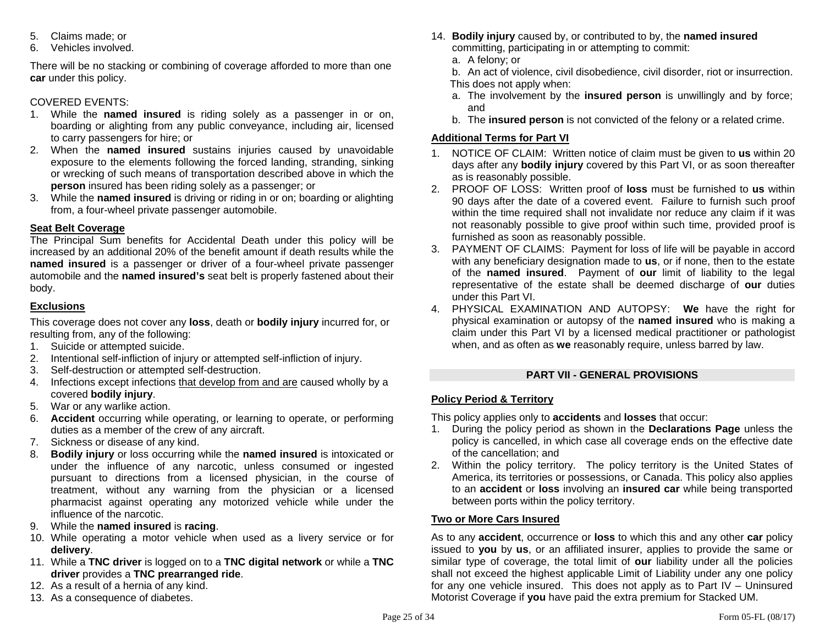- 5. Claims made; or
- 6. Vehicles involved.

There will be no stacking or combining of coverage afforded to more than one **car** under this policy.

# COVERED EVENTS:

- 1. While the **named insured** is riding solely as a passenger in or on, boarding or alighting from any public conveyance, including air, licensed to carry passengers for hire; or
- 2. When the **named insured** sustains injuries caused by unavoidable exposure to the elements following the forced landing, stranding, sinking or wrecking of such means of transportation described above in which the **person** insured has been riding solely as a passenger; or
- 3. While the **named insured** is driving or riding in or on; boarding or alighting from, a four-wheel private passenger automobile.

# **Seat Belt Coverage**

The Principal Sum benefits for Accidental Death under this policy will be increased by an additional 20% of the benefit amount if death results while the **named insured** is a passenger or driver of a four-wheel private passenger automobile and the **named insured's** seat belt is properly fastened about their body.

# **Exclusions**

This coverage does not cover any **loss**, death or **bodily injury** incurred for, or resulting from, any of the following:

- 1. Suicide or attempted suicide.
- 2. Intentional self-infliction of injury or attempted self-infliction of injury.
- 3. Self-destruction or attempted self-destruction.
- 4. Infections except infections that develop from and are caused wholly by a covered **bodily injury**.
- 5. War or any warlike action.
- 6. **Accident** occurring while operating, or learning to operate, or performing duties as a member of the crew of any aircraft.
- 7. Sickness or disease of any kind.
- 8. **Bodily injury** or loss occurring while the **named insured** is intoxicated or under the influence of any narcotic, unless consumed or ingested pursuant to directions from a licensed physician, in the course of treatment, without any warning from the physician or a licensed pharmacist against operating any motorized vehicle while under the influence of the narcotic.
- 9. While the **named insured** is **racing**.
- 10. While operating a motor vehicle when used as a livery service or for **delivery**.
- 11. While a **TNC driver** is logged on to a **TNC digital network** or while a **TNC driver** provides a **TNC prearranged ride**.
- 12. As a result of a hernia of any kind.
- 13. As a consequence of diabetes.
- 14. **Bodily injury** caused by, or contributed to by, the **named insured** committing, participating in or attempting to commit:
	- a. A felony; or
	- b. An act of violence, civil disobedience, civil disorder, riot or insurrection. This does not apply when:
	- a. The involvement by the **insured person** is unwillingly and by force; and
	- b. The **insured person** is not convicted of the felony or a related crime.

# **Additional Terms for Part VI**

- 1. NOTICE OF CLAIM: Written notice of claim must be given to **us** within 20 days after any **bodily injury** covered by this Part VI, or as soon thereafter as is reasonably possible.
- 2. PROOF OF LOSS: Written proof of **loss** must be furnished to **us** within 90 days after the date of a covered event. Failure to furnish such proof within the time required shall not invalidate nor reduce any claim if it was not reasonably possible to give proof within such time, provided proof is furnished as soon as reasonably possible.
- 3. PAYMENT OF CLAIMS: Payment for loss of life will be payable in accord with any beneficiary designation made to **us**, or if none, then to the estate of the **named insured**. Payment of **our** limit of liability to the legal representative of the estate shall be deemed discharge of **our** duties under this Part VI.
- 4. PHYSICAL EXAMINATION AND AUTOPSY: **We** have the right for physical examination or autopsy of the **named insured** who is making a claim under this Part VI by a licensed medical practitioner or pathologist when, and as often as **we** reasonably require, unless barred by law.

# **PART VII - GENERAL PROVISIONS**

# **Policy Period & Territory**

This policy applies only to **accidents** and **losses** that occur:

- 1. During the policy period as shown in the **Declarations Page** unless the policy is cancelled, in which case all coverage ends on the effective date of the cancellation; and
- 2. Within the policy territory. The policy territory is the United States of America, its territories or possessions, or Canada. This policy also applies to an **accident** or **loss** involving an **insured car** while being transported between ports within the policy territory.

# **Two or More Cars Insured**

As to any **accident**, occurrence or **loss** to which this and any other **car** policy issued to **you** by **us**, or an affiliated insurer, applies to provide the same or similar type of coverage, the total limit of **our** liability under all the policies shall not exceed the highest applicable Limit of Liability under any one policy for any one vehicle insured. This does not apply as to Part  $IV -$  Uninsured Motorist Coverage if **you** have paid the extra premium for Stacked UM.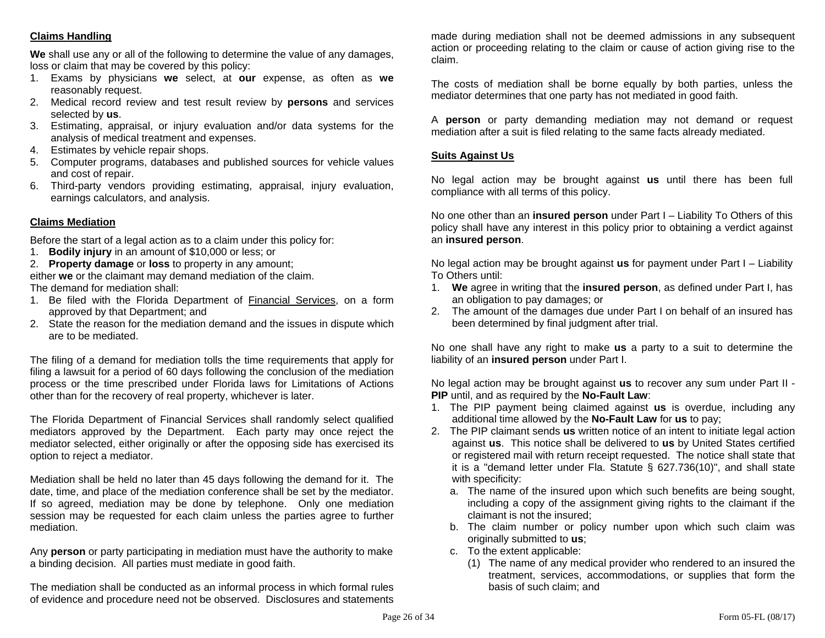# **Claims Handling**

**We** shall use any or all of the following to determine the value of any damages, loss or claim that may be covered by this policy:

- 1. Exams by physicians **we** select, at **our** expense, as often as **we** reasonably request.
- 2. Medical record review and test result review by **persons** and services selected by **us**.
- 3. Estimating, appraisal, or injury evaluation and/or data systems for the analysis of medical treatment and expenses.
- 4. Estimates by vehicle repair shops.
- 5. Computer programs, databases and published sources for vehicle values and cost of repair.
- 6. Third-party vendors providing estimating, appraisal, injury evaluation, earnings calculators, and analysis.

# **Claims Mediation**

Before the start of a legal action as to a claim under this policy for:

- 1. **Bodily injury** in an amount of \$10,000 or less; or
- 2. **Property damage** or **loss** to property in any amount;

either **we** or the claimant may demand mediation of the claim. The demand for mediation shall:

- 1. Be filed with the Florida Department of Financial Services, on a form approved by that Department; and
- 2. State the reason for the mediation demand and the issues in dispute which are to be mediated.

The filing of a demand for mediation tolls the time requirements that apply for filing a lawsuit for a period of 60 days following the conclusion of the mediation process or the time prescribed under Florida laws for Limitations of Actions other than for the recovery of real property, whichever is later.

The Florida Department of Financial Services shall randomly select qualified mediators approved by the Department. Each party may once reject the mediator selected, either originally or after the opposing side has exercised its option to reject a mediator.

Mediation shall be held no later than 45 days following the demand for it. The date, time, and place of the mediation conference shall be set by the mediator. If so agreed, mediation may be done by telephone. Only one mediation session may be requested for each claim unless the parties agree to further mediation.

Any **person** or party participating in mediation must have the authority to make a binding decision. All parties must mediate in good faith.

The mediation shall be conducted as an informal process in which formal rules of evidence and procedure need not be observed. Disclosures and statements

made during mediation shall not be deemed admissions in any subsequent action or proceeding relating to the claim or cause of action giving rise to the claim.

The costs of mediation shall be borne equally by both parties, unless the mediator determines that one party has not mediated in good faith.

A **person** or party demanding mediation may not demand or request mediation after a suit is filed relating to the same facts already mediated.

### **Suits Against Us**

No legal action may be brought against **us** until there has been full compliance with all terms of this policy.

No one other than an **insured person** under Part I – Liability To Others of this policy shall have any interest in this policy prior to obtaining a verdict against an **insured person**.

No legal action may be brought against **us** for payment under Part I – Liability To Others until:

- 1. **We** agree in writing that the **insured person**, as defined under Part I, has an obligation to pay damages; or
- 2. The amount of the damages due under Part I on behalf of an insured has been determined by final judgment after trial.

No one shall have any right to make **us** a party to a suit to determine the liability of an **insured person** under Part I.

No legal action may be brought against **us** to recover any sum under Part II - **PIP** until, and as required by the **No-Fault Law**:

- 1. The PIP payment being claimed against **us** is overdue, including any additional time allowed by the **No-Fault Law** for **us** to pay;
- 2. The PIP claimant sends **us** written notice of an intent to initiate legal action against **us**. This notice shall be delivered to **us** by United States certified or registered mail with return receipt requested. The notice shall state that it is a "demand letter under Fla. Statute § 627.736(10)", and shall state with specificity:
	- a. The name of the insured upon which such benefits are being sought, including a copy of the assignment giving rights to the claimant if the claimant is not the insured;
	- b. The claim number or policy number upon which such claim was originally submitted to **us**;
	- c. To the extent applicable:
		- (1) The name of any medical provider who rendered to an insured the treatment, services, accommodations, or supplies that form the basis of such claim; and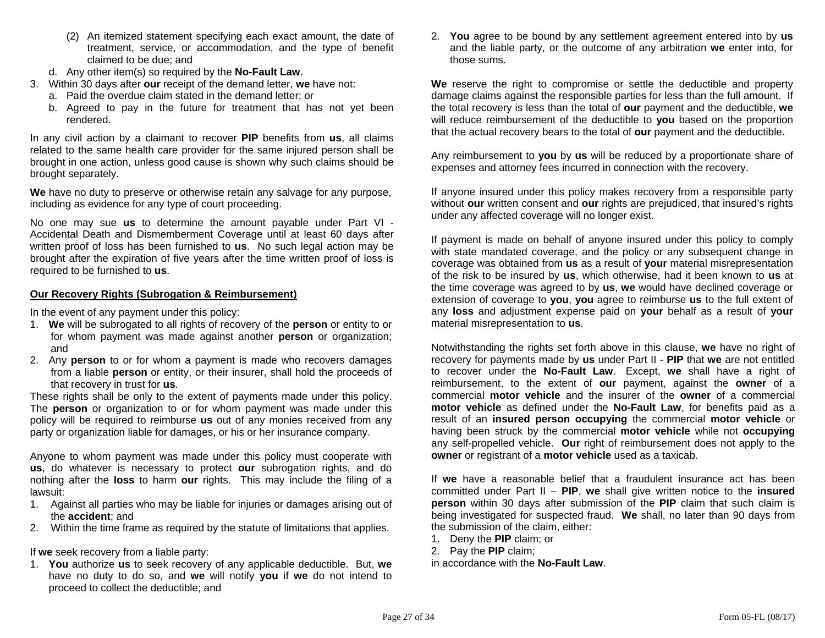- (2) An itemized statement specifying each exact amount, the date of treatment, service, or accommodation, and the type of benefit claimed to be due; and
- d. Any other item(s) so required by the **No-Fault Law**.
- 3. Within 30 days after **our** receipt of the demand letter, **we** have not:
	- a. Paid the overdue claim stated in the demand letter; or
	- b. Agreed to pay in the future for treatment that has not yet been rendered.

In any civil action by a claimant to recover **PIP** benefits from **us**, all claims related to the same health care provider for the same injured person shall be brought in one action, unless good cause is shown why such claims should be brought separately.

**We** have no duty to preserve or otherwise retain any salvage for any purpose, including as evidence for any type of court proceeding.

No one may sue **us** to determine the amount payable under Part VI - Accidental Death and Dismemberment Coverage until at least 60 days after written proof of loss has been furnished to **us**. No such legal action may be brought after the expiration of five years after the time written proof of loss is required to be furnished to **us**.

### **Our Recovery Rights (Subrogation & Reimbursement)**

In the event of any payment under this policy:

- 1. **We** will be subrogated to all rights of recovery of the **person** or entity to or for whom payment was made against another **person** or organization; and
- 2. Any **person** to or for whom a payment is made who recovers damages from a liable **person** or entity, or their insurer, shall hold the proceeds of that recovery in trust for **us**.

These rights shall be only to the extent of payments made under this policy. The **person** or organization to or for whom payment was made under this policy will be required to reimburse **us** out of any monies received from any party or organization liable for damages, or his or her insurance company.

Anyone to whom payment was made under this policy must cooperate with **us**, do whatever is necessary to protect **our** subrogation rights, and do nothing after the **loss** to harm **our** rights. This may include the filing of a lawsuit:

- 1. Against all parties who may be liable for injuries or damages arising out of the **accident**; and
- 2. Within the time frame as required by the statute of limitations that applies.

If **we** seek recovery from a liable party:

1. **You** authorize **us** to seek recovery of any applicable deductible. But, **we**  have no duty to do so, and **we** will notify **you** if **we** do not intend to proceed to collect the deductible; and

2. **You** agree to be bound by any settlement agreement entered into by **us** and the liable party, or the outcome of any arbitration **we** enter into, for those sums.

**We** reserve the right to compromise or settle the deductible and property damage claims against the responsible parties for less than the full amount. If the total recovery is less than the total of **our** payment and the deductible, **we**  will reduce reimbursement of the deductible to **you** based on the proportion that the actual recovery bears to the total of **our** payment and the deductible.

Any reimbursement to **you** by **us** will be reduced by a proportionate share of expenses and attorney fees incurred in connection with the recovery.

If anyone insured under this policy makes recovery from a responsible party without **our** written consent and **our** rights are prejudiced, that insured's rights under any affected coverage will no longer exist.

If payment is made on behalf of anyone insured under this policy to comply with state mandated coverage, and the policy or any subsequent change in coverage was obtained from **us** as a result of **your** material misrepresentation of the risk to be insured by **us**, which otherwise, had it been known to **us** at the time coverage was agreed to by **us**, **we** would have declined coverage or extension of coverage to **you**, **you** agree to reimburse **us** to the full extent of any **loss** and adjustment expense paid on **your** behalf as a result of **your** material misrepresentation to **us**.

Notwithstanding the rights set forth above in this clause, **we** have no right of recovery for payments made by **us** under Part II - **PIP** that **we** are not entitled to recover under the **No-Fault Law**. Except, **we** shall have a right of reimbursement, to the extent of **our** payment, against the **owner** of a commercial **motor vehicle** and the insurer of the **owner** of a commercial **motor vehicle** as defined under the **No-Fault Law**, for benefits paid as a result of an **insured person occupying** the commercial **motor vehicle** or having been struck by the commercial **motor vehicle** while not **occupying** any self-propelled vehicle. **Our** right of reimbursement does not apply to the **owner** or registrant of a **motor vehicle** used as a taxicab.

If **we** have a reasonable belief that a fraudulent insurance act has been committed under Part II – **PIP**, **we** shall give written notice to the **insured person** within 30 days after submission of the **PIP** claim that such claim is being investigated for suspected fraud. **We** shall, no later than 90 days from the submission of the claim, either:

- 1. Deny the **PIP** claim; or
- 2. Pay the **PIP** claim;

in accordance with the **No-Fault Law**.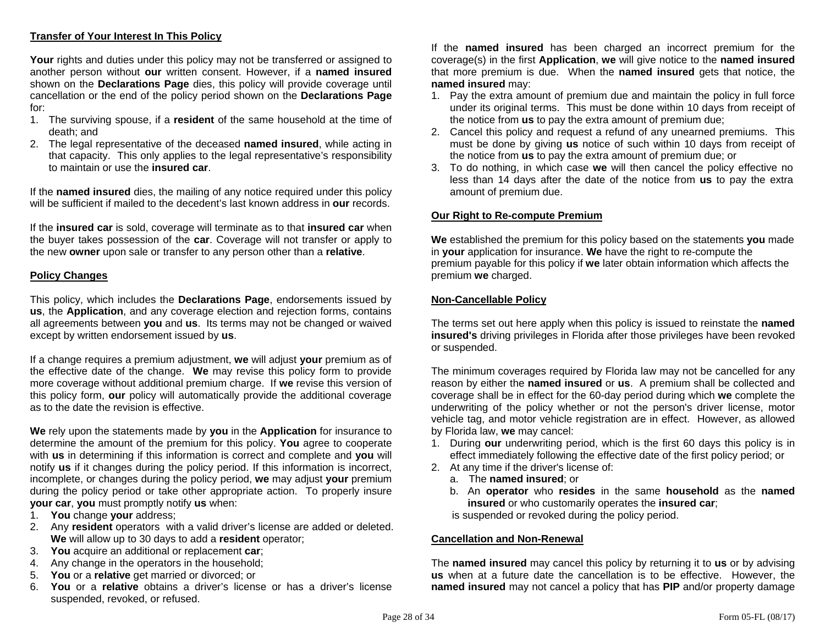# **Transfer of Your Interest In This Policy**

**Your** rights and duties under this policy may not be transferred or assigned to another person without **our** written consent. However, if a **named insured** shown on the **Declarations Page** dies, this policy will provide coverage until cancellation or the end of the policy period shown on the **Declarations Page** for:

- 1. The surviving spouse, if a **resident** of the same household at the time of death; and
- 2. The legal representative of the deceased **named insured**, while acting in that capacity. This only applies to the legal representative's responsibility to maintain or use the **insured car**.

If the **named insured** dies, the mailing of any notice required under this policy will be sufficient if mailed to the decedent's last known address in **our** records.

If the **insured car** is sold, coverage will terminate as to that **insured car** when the buyer takes possession of the **car**. Coverage will not transfer or apply to the new **owner** upon sale or transfer to any person other than a **relative**.

### **Policy Changes**

This policy, which includes the **Declarations Page**, endorsements issued by **us**, the **Application**, and any coverage election and rejection forms, contains all agreements between **you** and **us**. Its terms may not be changed or waived except by written endorsement issued by **us**.

If a change requires a premium adjustment, **we** will adjust **your** premium as of the effective date of the change. **We** may revise this policy form to provide more coverage without additional premium charge. If **we** revise this version of this policy form, **our** policy will automatically provide the additional coverage as to the date the revision is effective.

**We** rely upon the statements made by **you** in the **Application** for insurance to determine the amount of the premium for this policy. **You** agree to cooperate with **us** in determining if this information is correct and complete and **you** will notify **us** if it changes during the policy period. If this information is incorrect, incomplete, or changes during the policy period, **we** may adjust **your** premium during the policy period or take other appropriate action. To properly insure **your car**, **you** must promptly notify **us** when:

- 1. **You** change **your** address;
- 2. Any **resident** operators with a valid driver's license are added or deleted. **We** will allow up to 30 days to add a **resident** operator;
- 3. **You** acquire an additional or replacement **car**;
- 4. Any change in the operators in the household;
- 5. **You** or a **relative** get married or divorced; or
- 6. **You** or a **relative** obtains a driver's license or has a driver's license suspended, revoked, or refused.

If the **named insured** has been charged an incorrect premium for the coverage(s) in the first **Application**, **we** will give notice to the **named insured** that more premium is due. When the **named insured** gets that notice, the **named insured** may:

- 1. Pay the extra amount of premium due and maintain the policy in full force under its original terms. This must be done within 10 days from receipt of the notice from **us** to pay the extra amount of premium due;
- 2. Cancel this policy and request a refund of any unearned premiums. This must be done by giving **us** notice of such within 10 days from receipt of the notice from **us** to pay the extra amount of premium due; or
- 3. To do nothing, in which case **we** will then cancel the policy effective no less than 14 days after the date of the notice from **us** to pay the extra amount of premium due.

#### **Our Right to Re-compute Premium**

**We** established the premium for this policy based on the statements **you** made in **your** application for insurance. **We** have the right to re-compute the premium payable for this policy if **we** later obtain information which affects the premium **we** charged.

#### **Non-Cancellable Policy**

The terms set out here apply when this policy is issued to reinstate the **named insured's** driving privileges in Florida after those privileges have been revoked or suspended.

The minimum coverages required by Florida law may not be cancelled for any reason by either the **named insured** or **us**. A premium shall be collected and coverage shall be in effect for the 60-day period during which **we** complete the underwriting of the policy whether or not the person's driver license, motor vehicle tag, and motor vehicle registration are in effect. However, as allowed by Florida law, **we** may cancel:

- 1. During **our** underwriting period, which is the first 60 days this policy is in effect immediately following the effective date of the first policy period; or
- 2. At any time if the driver's license of:
	- a. The **named insured**; or
	- b. An **operator** who **resides** in the same **household** as the **named insured** or who customarily operates the **insured car**;

is suspended or revoked during the policy period.

#### **Cancellation and Non-Renewal**

The **named insured** may cancel this policy by returning it to **us** or by advising **us** when at a future date the cancellation is to be effective. However, the **named insured** may not cancel a policy that has **PIP** and/or property damage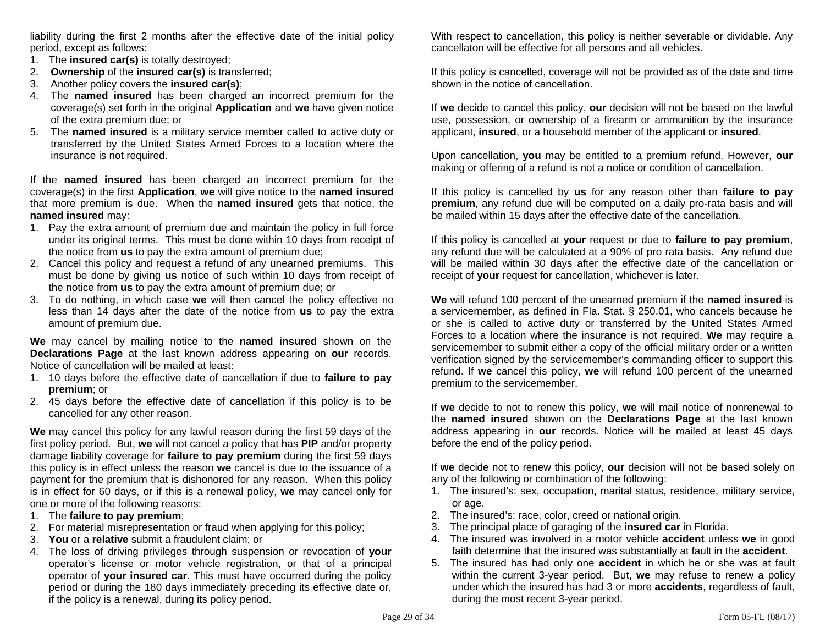liability during the first 2 months after the effective date of the initial policy period, except as follows:

- 1. The **insured car(s)** is totally destroyed;
- 2. **Ownership** of the **insured car(s)** is transferred;
- 3. Another policy covers the **insured car(s)**;
- 4. The **named insured** has been charged an incorrect premium for the coverage(s) set forth in the original **Application** and **we** have given notice of the extra premium due; or
- 5. The **named insured** is a military service member called to active duty or transferred by the United States Armed Forces to a location where the insurance is not required.

If the **named insured** has been charged an incorrect premium for the coverage(s) in the first **Application**, **we** will give notice to the **named insured** that more premium is due. When the **named insured** gets that notice, the **named insured** may:

- 1. Pay the extra amount of premium due and maintain the policy in full force under its original terms. This must be done within 10 days from receipt of the notice from **us** to pay the extra amount of premium due;
- 2. Cancel this policy and request a refund of any unearned premiums. This must be done by giving **us** notice of such within 10 days from receipt of the notice from **us** to pay the extra amount of premium due; or
- 3. To do nothing, in which case **we** will then cancel the policy effective no less than 14 days after the date of the notice from **us** to pay the extra amount of premium due.

**We** may cancel by mailing notice to the **named insured** shown on the **Declarations Page** at the last known address appearing on **our** records. Notice of cancellation will be mailed at least:

- 1. 10 days before the effective date of cancellation if due to **failure to pay premium**; or
- 2. 45 days before the effective date of cancellation if this policy is to be cancelled for any other reason.

**We** may cancel this policy for any lawful reason during the first 59 days of the first policy period. But, **we** will not cancel a policy that has **PIP** and/or property damage liability coverage for **failure to pay premium** during the first 59 days this policy is in effect unless the reason **we** cancel is due to the issuance of a payment for the premium that is dishonored for any reason. When this policy is in effect for 60 days, or if this is a renewal policy, **we** may cancel only for one or more of the following reasons:

- 1. The **failure to pay premium**;
- 2. For material misrepresentation or fraud when applying for this policy;
- 3. **You** or a **relative** submit a fraudulent claim; or
- 4. The loss of driving privileges through suspension or revocation of **your** operator's license or motor vehicle registration, or that of a principal operator of **your insured car**. This must have occurred during the policy period or during the 180 days immediately preceding its effective date or, if the policy is a renewal, during its policy period.

With respect to cancellation, this policy is neither severable or dividable. Any cancellaton will be effective for all persons and all vehicles.

If this policy is cancelled, coverage will not be provided as of the date and time shown in the notice of cancellation.

If **we** decide to cancel this policy, **our** decision will not be based on the lawful use, possession, or ownership of a firearm or ammunition by the insurance applicant, **insured**, or a household member of the applicant or **insured**.

Upon cancellation, **you** may be entitled to a premium refund. However, **our** making or offering of a refund is not a notice or condition of cancellation.

If this policy is cancelled by **us** for any reason other than **failure to pay premium**, any refund due will be computed on a daily pro-rata basis and will be mailed within 15 days after the effective date of the cancellation.

If this policy is cancelled at **your** request or due to **failure to pay premium**, any refund due will be calculated at a 90% of pro rata basis. Any refund due will be mailed within 30 days after the effective date of the cancellation or receipt of **your** request for cancellation, whichever is later.

**We** will refund 100 percent of the unearned premium if the **named insured** is a servicemember, as defined in Fla. Stat. § 250.01, who cancels because he or she is called to active duty or transferred by the United States Armed Forces to a location where the insurance is not required. **We** may require a servicemember to submit either a copy of the official military order or a written verification signed by the servicemember's commanding officer to support this refund. If **we** cancel this policy, **we** will refund 100 percent of the unearned premium to the servicemember.

If **we** decide to not to renew this policy, **we** will mail notice of nonrenewal to the **named insured** shown on the **Declarations Page** at the last known address appearing in **our** records. Notice will be mailed at least 45 days before the end of the policy period.

If **we** decide not to renew this policy, **our** decision will not be based solely on any of the following or combination of the following:

- 1. The insured's: sex, occupation, marital status, residence, military service, or age.
- 2. The insured's: race, color, creed or national origin.
- 3. The principal place of garaging of the **insured car** in Florida.
- 4. The insured was involved in a motor vehicle **accident** unless **we** in good faith determine that the insured was substantially at fault in the **accident**.
- 5. The insured has had only one **accident** in which he or she was at fault within the current 3-year period. But, **we** may refuse to renew a policy under which the insured has had 3 or more **accidents**, regardless of fault, during the most recent 3-year period.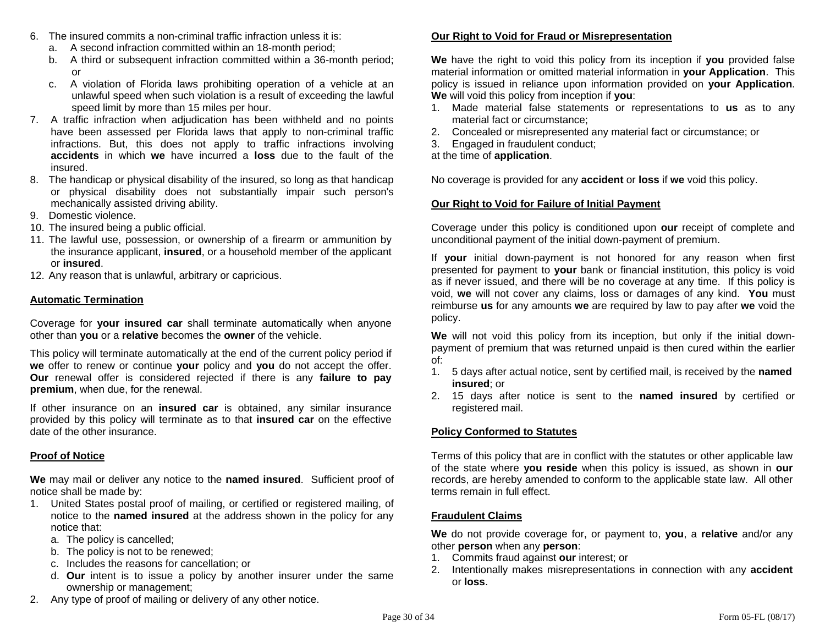- 6. The insured commits a non-criminal traffic infraction unless it is:
	- a. A second infraction committed within an 18-month period;
	- b. A third or subsequent infraction committed within a 36-month period; or
	- c. A violation of Florida laws prohibiting operation of a vehicle at an unlawful speed when such violation is a result of exceeding the lawful speed limit by more than 15 miles per hour.
- 7. A traffic infraction when adjudication has been withheld and no points have been assessed per Florida laws that apply to non-criminal traffic infractions. But, this does not apply to traffic infractions involving **accidents** in which **we** have incurred a **loss** due to the fault of the insured.
- 8. The handicap or physical disability of the insured, so long as that handicap or physical disability does not substantially impair such person's mechanically assisted driving ability.
- 9. Domestic violence.
- 10. The insured being a public official.
- 11. The lawful use, possession, or ownership of a firearm or ammunition by the insurance applicant, **insured**, or a household member of the applicant or **insured**.
- 12. Any reason that is unlawful, arbitrary or capricious.

# **Automatic Termination**

Coverage for **your insured car** shall terminate automatically when anyone other than **you** or a **relative** becomes the **owner** of the vehicle.

This policy will terminate automatically at the end of the current policy period if **we** offer to renew or continue **your** policy and **you** do not accept the offer. **Our** renewal offer is considered rejected if there is any **failure to pay premium**, when due, for the renewal.

If other insurance on an **insured car** is obtained, any similar insurance provided by this policy will terminate as to that **insured car** on the effective date of the other insurance.

# **Proof of Notice**

**We** may mail or deliver any notice to the **named insured**. Sufficient proof of notice shall be made by:

- 1. United States postal proof of mailing, or certified or registered mailing, of notice to the **named insured** at the address shown in the policy for any notice that:
	- a. The policy is cancelled;
	- b. The policy is not to be renewed;
	- c. Includes the reasons for cancellation; or
- d. **Our** intent is to issue a policy by another insurer under the same ownership or management;
- 2. Any type of proof of mailing or delivery of any other notice.

# **Our Right to Void for Fraud or Misrepresentation**

**We** have the right to void this policy from its inception if **you** provided false material information or omitted material information in **your Application**. This policy is issued in reliance upon information provided on **your Application**. **We** will void this policy from inception if **you**:

- 1. Made material false statements or representations to **us** as to any material fact or circumstance;
- 2. Concealed or misrepresented any material fact or circumstance; or
- 3. Engaged in fraudulent conduct;

at the time of **application**.

No coverage is provided for any **accident** or **loss** if **we** void this policy.

# **Our Right to Void for Failure of Initial Payment**

Coverage under this policy is conditioned upon **our** receipt of complete and unconditional payment of the initial down-payment of premium.

If **your** initial down-payment is not honored for any reason when first presented for payment to **your** bank or financial institution, this policy is void as if never issued, and there will be no coverage at any time. If this policy is void, **we** will not cover any claims, loss or damages of any kind. **You** must reimburse **us** for any amounts **we** are required by law to pay after **we** void the policy.

**We** will not void this policy from its inception, but only if the initial downpayment of premium that was returned unpaid is then cured within the earlier of:

- 1. 5 days after actual notice, sent by certified mail, is received by the **named insured**; or
- 2. 15 days after notice is sent to the **named insured** by certified or registered mail.

# **Policy Conformed to Statutes**

Terms of this policy that are in conflict with the statutes or other applicable law of the state where **you reside** when this policy is issued, as shown in **our**  records, are hereby amended to conform to the applicable state law. All other terms remain in full effect.

# **Fraudulent Claims**

**We** do not provide coverage for, or payment to, **you**, a **relative** and/or any other **person** when any **person**:

- 1. Commits fraud against **our** interest; or
- 2. Intentionally makes misrepresentations in connection with any **accident**  or **loss**.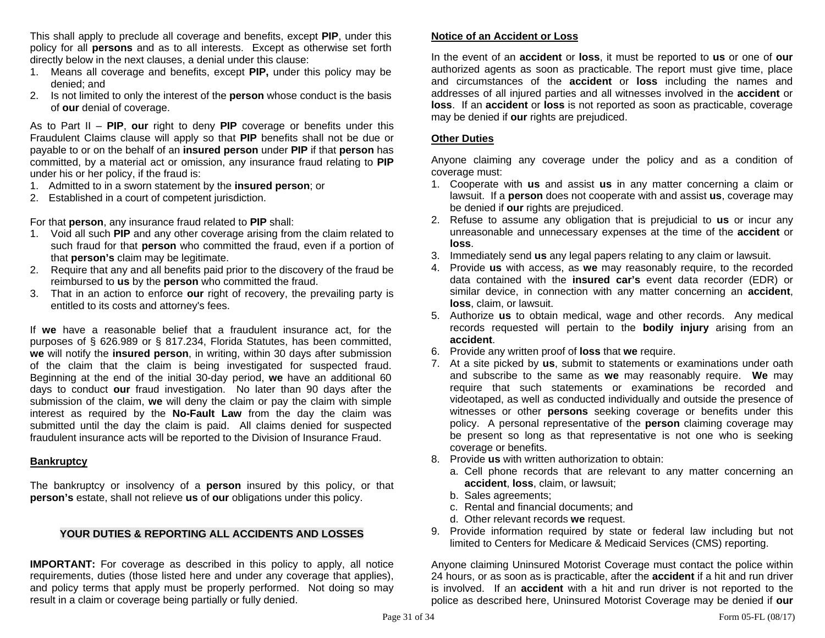This shall apply to preclude all coverage and benefits, except **PIP**, under this policy for all **persons** and as to all interests. Except as otherwise set forth directly below in the next clauses, a denial under this clause:

- 1. Means all coverage and benefits, except **PIP,** under this policy may be denied; and
- 2. Is not limited to only the interest of the **person** whose conduct is the basis of **our** denial of coverage.

As to Part II – **PIP**, **our** right to deny **PIP** coverage or benefits under this Fraudulent Claims clause will apply so that **PIP** benefits shall not be due or payable to or on the behalf of an **insured person** under **PIP** if that **person** has committed, by a material act or omission, any insurance fraud relating to **PIP** under his or her policy, if the fraud is:

- 1. Admitted to in a sworn statement by the **insured person**; or
- 2. Established in a court of competent jurisdiction.

For that **person**, any insurance fraud related to **PIP** shall:

- 1. Void all such **PIP** and any other coverage arising from the claim related to such fraud for that **person** who committed the fraud, even if a portion of that **person's** claim may be legitimate.
- 2. Require that any and all benefits paid prior to the discovery of the fraud be reimbursed to **us** by the **person** who committed the fraud.
- 3. That in an action to enforce **our** right of recovery, the prevailing party is entitled to its costs and attorney's fees.

If **we** have a reasonable belief that a fraudulent insurance act, for the purposes of § 626.989 or § 817.234, Florida Statutes, has been committed, **we** will notify the **insured person**, in writing, within 30 days after submission of the claim that the claim is being investigated for suspected fraud. Beginning at the end of the initial 30-day period, **we** have an additional 60 days to conduct **our** fraud investigation. No later than 90 days after the submission of the claim, **we** will deny the claim or pay the claim with simple interest as required by the **No-Fault Law** from the day the claim was submitted until the day the claim is paid. All claims denied for suspected fraudulent insurance acts will be reported to the Division of Insurance Fraud.

#### **Bankruptcy**

The bankruptcy or insolvency of a **person** insured by this policy, or that **person's** estate, shall not relieve **us** of **our** obligations under this policy.

### **YOUR DUTIES & REPORTING ALL ACCIDENTS AND LOSSES**

**IMPORTANT:** For coverage as described in this policy to apply, all notice requirements, duties (those listed here and under any coverage that applies), and policy terms that apply must be properly performed. Not doing so may result in a claim or coverage being partially or fully denied.

#### **Notice of an Accident or Loss**

In the event of an **accident** or **loss**, it must be reported to **us** or one of **our**  authorized agents as soon as practicable. The report must give time, place and circumstances of the **accident** or **loss** including the names and addresses of all injured parties and all witnesses involved in the **accident** or **loss**. If an **accident** or **loss** is not reported as soon as practicable, coverage may be denied if **our** rights are prejudiced.

#### **Other Duties**

Anyone claiming any coverage under the policy and as a condition of coverage must:

- 1. Cooperate with **us** and assist **us** in any matter concerning a claim or lawsuit. If a **person** does not cooperate with and assist **us**, coverage may be denied if **our** rights are prejudiced.
- 2. Refuse to assume any obligation that is prejudicial to **us** or incur any unreasonable and unnecessary expenses at the time of the **accident** or **loss**.
- 3. Immediately send **us** any legal papers relating to any claim or lawsuit.
- 4. Provide **us** with access, as **we** may reasonably require, to the recorded data contained with the **insured car's** event data recorder (EDR) or similar device, in connection with any matter concerning an **accident**, **loss**, claim, or lawsuit.
- 5. Authorize **us** to obtain medical, wage and other records. Any medical records requested will pertain to the **bodily injury** arising from an **accident**.
- 6. Provide any written proof of **loss** that **we** require.
- 7. At a site picked by **us**, submit to statements or examinations under oath and subscribe to the same as **we** may reasonably require. **We** may require that such statements or examinations be recorded and videotaped, as well as conducted individually and outside the presence of witnesses or other **persons** seeking coverage or benefits under this policy. A personal representative of the **person** claiming coverage may be present so long as that representative is not one who is seeking coverage or benefits.
- 8. Provide **us** with written authorization to obtain:
	- a. Cell phone records that are relevant to any matter concerning an **accident**, **loss**, claim, or lawsuit;
	- b. Sales agreements;
	- c. Rental and financial documents; and
	- d. Other relevant records **we** request.
- 9. Provide information required by state or federal law including but not limited to Centers for Medicare & Medicaid Services (CMS) reporting.

Anyone claiming Uninsured Motorist Coverage must contact the police within 24 hours, or as soon as is practicable, after the **accident** if a hit and run driver is involved. If an **accident** with a hit and run driver is not reported to the police as described here, Uninsured Motorist Coverage may be denied if **our**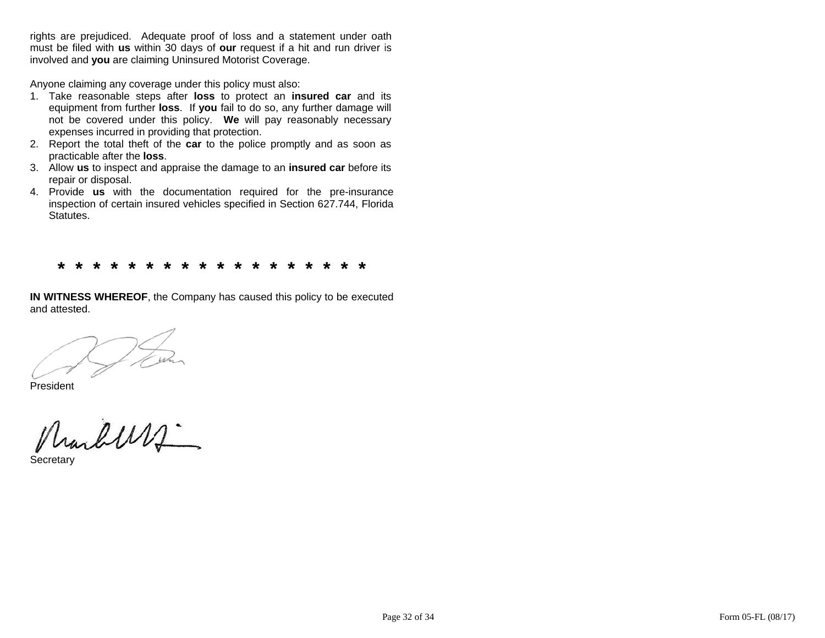rights are prejudiced. Adequate proof of loss and a statement under oath must be filed with us within 30 days of our request if a hit and run driver is involved and **you** are claiming Uninsured Motorist Coverage.

Anyone claiming any coverage under this policy must also:

- 1. Take reasonable steps after loss to protect an insured car and its equipment from further loss. If you fail to do so, any further damage will not be covered under this policy. We will pay reasonably necessary expenses incurred in providing that protection.
- 2. Report the total theft of the **car** to the police promptly and as soon as practicable after the **loss**.
- 3. Allow repair or disposal. us to inspect and appraise the damage to an *insured car* before its
- 4. Provide us with the documentation required for the pre-insurance inspection of certain insured vehicles specified in Section 627.744, Florida Statutes.

**\* \*\* \* \* \* \* \* \* \* \* \* \* \* \* \*\* \* \* \*** 

**IN WITNESS WHEREOF**, the Company has caused this policy to be executed and attested.

President

Marburg

Secretary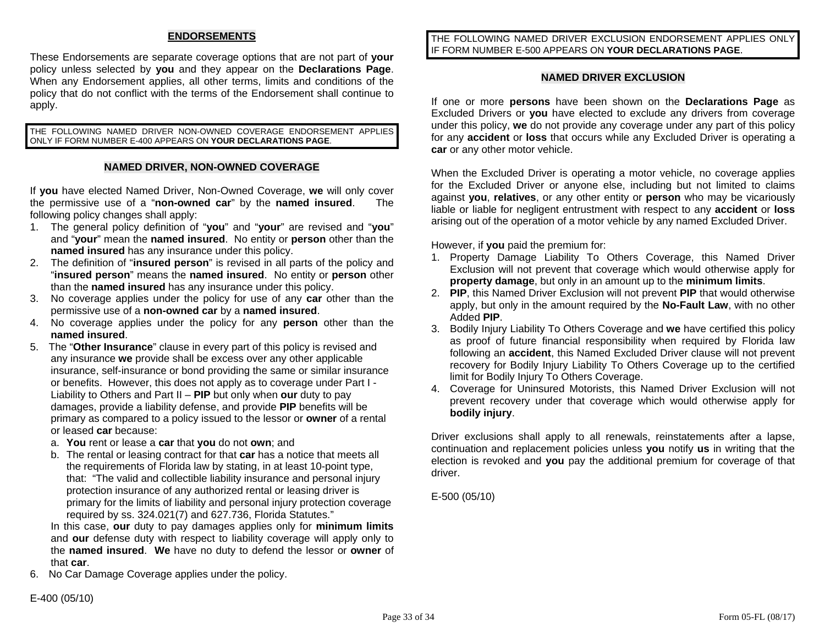# **ENDORSEMENTS**

These Endorsements are separate coverage options that are not part of **your** policy unless selected by **you** and they appear on the **Declarations Page**. When any Endorsement applies, all other terms, limits and conditions of the policy that do not conflict with the terms of the Endorsement shall continue to apply.

THE FOLLOWING NAMED DRIVER NON-OWNED COVERAGE ENDORSEMENT APPLIES ONLY IF FORM NUMBER E-400 APPEARS ON **YOUR DECLARATIONS PAGE**.

### **NAMED DRIVER, NON-OWNED COVERAGE**

If **you** have elected Named Driver, Non-Owned Coverage, **we** will only cover the permissive use of a "**non-owned car**" by the **named insured**. The following policy changes shall apply:

- 1. The general policy definition of "**you**" and "**your**" are revised and "**you**" and "**your**" mean the **named insured**. No entity or **person** other than the **named insured** has any insurance under this policy.
- 2. The definition of "**insured person**" is revised in all parts of the policy and "**insured person**" means the **named insured**. No entity or **person** other than the **named insured** has any insurance under this policy.
- 3. No coverage applies under the policy for use of any **car** other than the permissive use of a **non-owned car** by a **named insured**.
- 4. No coverage applies under the policy for any **person** other than the **named insured**.
- 5. The "**Other Insurance**" clause in every part of this policy is revised and any insurance **we** provide shall be excess over any other applicable insurance, self-insurance or bond providing the same or similar insurance or benefits. However, this does not apply as to coverage under Part I - Liability to Others and Part II – **PIP** but only when **our** duty to pay damages, provide a liability defense, and provide **PIP** benefits will be primary as compared to a policy issued to the lessor or **owner** of a rental or leased **car** because:
	- a. **You** rent or lease a **car** that **you** do not **own**; and
	- b. The rental or leasing contract for that **car** has a notice that meets all the requirements of Florida law by stating, in at least 10-point type, that: "The valid and collectible liability insurance and personal injury protection insurance of any authorized rental or leasing driver is primary for the limits of liability and personal injury protection coverage required by ss. 324.021(7) and 627.736, Florida Statutes."

In this case, **our** duty to pay damages applies only for **minimum limits** and **our** defense duty with respect to liability coverage will apply only to the **named insured**. **We** have no duty to defend the lessor or **owner** of that **car**.

6. No Car Damage Coverage applies under the policy.

THE FOLLOWING NAMED DRIVER EXCLUSION ENDORSEMENT APPLIES ONLY IF FORM NUMBER E-500 APPEARS ON **YOUR DECLARATIONS PAGE**.

### **NAMED DRIVER EXCLUSION**

If one or more **persons** have been shown on the **Declarations Page** as Excluded Drivers or **you** have elected to exclude any drivers from coverage under this policy, **we** do not provide any coverage under any part of this policy for any **accident** or **loss** that occurs while any Excluded Driver is operating a **car** or any other motor vehicle.

When the Excluded Driver is operating a motor vehicle, no coverage applies for the Excluded Driver or anyone else, including but not limited to claims against **you**, **relatives**, or any other entity or **person** who may be vicariously liable or liable for negligent entrustment with respect to any **accident** or **loss**  arising out of the operation of a motor vehicle by any named Excluded Driver.

However, if **you** paid the premium for:

- 1. Property Damage Liability To Others Coverage, this Named Driver Exclusion will not prevent that coverage which would otherwise apply for **property damage**, but only in an amount up to the **minimum limits**.
- 2. **PIP**, this Named Driver Exclusion will not prevent **PIP** that would otherwise apply, but only in the amount required by the **No-Fault Law**, with no other Added **PIP**.
- 3. Bodily Injury Liability To Others Coverage and **we** have certified this policy as proof of future financial responsibility when required by Florida law following an **accident**, this Named Excluded Driver clause will not prevent recovery for Bodily Injury Liability To Others Coverage up to the certified limit for Bodily Injury To Others Coverage.
- 4. Coverage for Uninsured Motorists, this Named Driver Exclusion will not prevent recovery under that coverage which would otherwise apply for **bodily injury**.

Driver exclusions shall apply to all renewals, reinstatements after a lapse, continuation and replacement policies unless **you** notify **us** in writing that the election is revoked and **you** pay the additional premium for coverage of that driver.

E-500 (05/10)